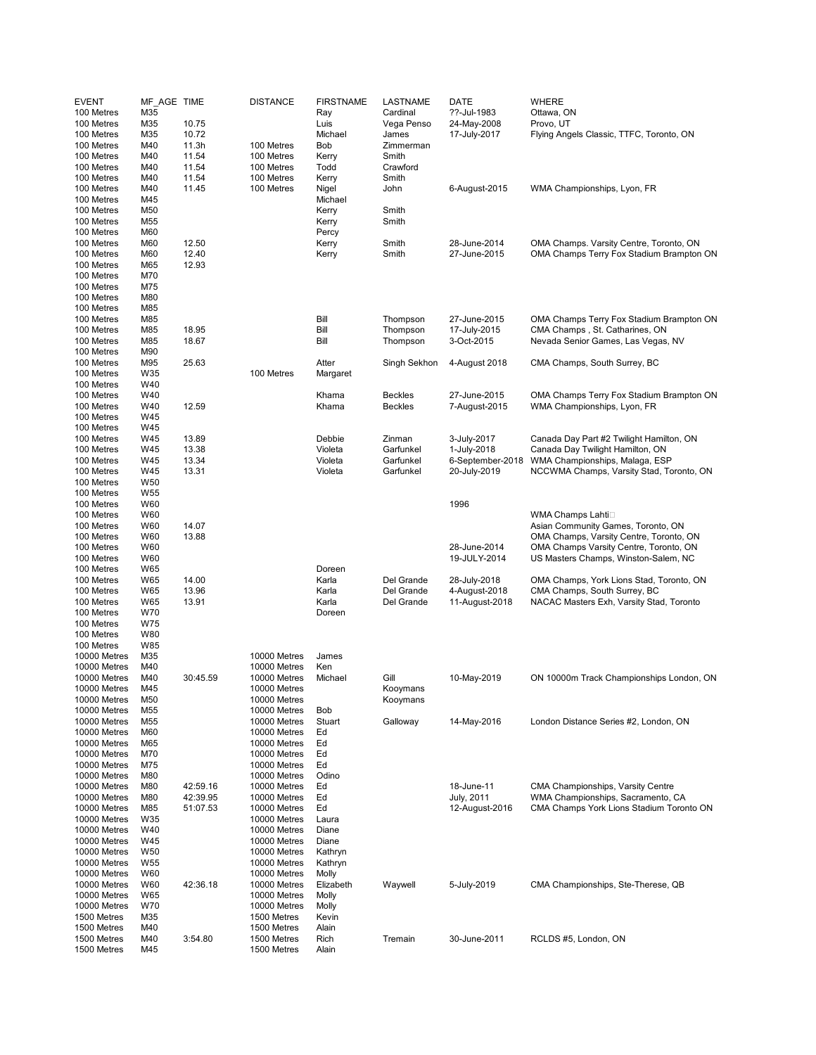| <b>EVENT</b><br>100 Metres   | MF AGE TIME<br>M35 |                | <b>DISTANCE</b>              | <b>FIRSTNAME</b><br>Ray | <b>LASTNAME</b><br>Cardinal | DATE<br>??-Jul-1983           | <b>WHERE</b><br>Ottawa, ON                                               |
|------------------------------|--------------------|----------------|------------------------------|-------------------------|-----------------------------|-------------------------------|--------------------------------------------------------------------------|
| 100 Metres                   | M35                | 10.75          |                              | Luis                    | Vega Penso                  | 24-May-2008                   | Provo, UT                                                                |
| 100 Metres                   | M35                | 10.72          |                              | Michael                 | James                       | 17-July-2017                  | Flying Angels Classic, TTFC, Toronto, ON                                 |
| 100 Metres                   | M40                | 11.3h          | 100 Metres                   | Bob                     | Zimmerman                   |                               |                                                                          |
| 100 Metres                   | M40                | 11.54          | 100 Metres                   | Kerry                   | Smith                       |                               |                                                                          |
| 100 Metres                   | M40                | 11.54          | 100 Metres                   | Todd                    | Crawford                    |                               |                                                                          |
| 100 Metres<br>100 Metres     | M40<br>M40         | 11.54<br>11.45 | 100 Metres<br>100 Metres     | Kerry<br>Nigel          | Smith<br>John               | 6-August-2015                 | WMA Championships, Lyon, FR                                              |
| 100 Metres                   | M45                |                |                              | Michael                 |                             |                               |                                                                          |
| 100 Metres                   | M50                |                |                              | Kerry                   | Smith                       |                               |                                                                          |
| 100 Metres                   | M55                |                |                              | Kerry                   | Smith                       |                               |                                                                          |
| 100 Metres                   | M60                |                |                              | Percy                   |                             |                               |                                                                          |
| 100 Metres                   | M60                | 12.50          |                              | Kerry                   | Smith                       | 28-June-2014                  | OMA Champs. Varsity Centre, Toronto, ON                                  |
| 100 Metres<br>100 Metres     | M60<br>M65         | 12.40<br>12.93 |                              | Kerry                   | Smith                       | 27-June-2015                  | OMA Champs Terry Fox Stadium Brampton ON                                 |
| 100 Metres                   | M70                |                |                              |                         |                             |                               |                                                                          |
| 100 Metres                   | M75                |                |                              |                         |                             |                               |                                                                          |
| 100 Metres                   | M80                |                |                              |                         |                             |                               |                                                                          |
| 100 Metres                   | M85                |                |                              |                         |                             |                               |                                                                          |
| 100 Metres                   | M85                |                |                              | Bill                    | Thompson                    | 27-June-2015                  | OMA Champs Terry Fox Stadium Brampton ON                                 |
| 100 Metres                   | M85                | 18.95          |                              | Bill<br>Bill            | Thompson                    | 17-July-2015                  | CMA Champs, St. Catharines, ON                                           |
| 100 Metres<br>100 Metres     | M85<br>M90         | 18.67          |                              |                         | Thompson                    | 3-Oct-2015                    | Nevada Senior Games, Las Vegas, NV                                       |
| 100 Metres                   | M95                | 25.63          |                              | Atter                   | Singh Sekhon                | 4-August 2018                 | CMA Champs, South Surrey, BC                                             |
| 100 Metres                   | W35                |                | 100 Metres                   | Margaret                |                             |                               |                                                                          |
| 100 Metres                   | W40                |                |                              |                         |                             |                               |                                                                          |
| 100 Metres                   | W40                |                |                              | Khama                   | Beckles                     | 27-June-2015                  | OMA Champs Terry Fox Stadium Brampton ON                                 |
| 100 Metres                   | W40                | 12.59          |                              | Khama                   | <b>Beckles</b>              | 7-August-2015                 | WMA Championships, Lyon, FR                                              |
| 100 Metres<br>100 Metres     | W45<br>W45         |                |                              |                         |                             |                               |                                                                          |
| 100 Metres                   | W45                | 13.89          |                              | Debbie                  | Zinman                      | 3-July-2017                   | Canada Day Part #2 Twilight Hamilton, ON                                 |
| 100 Metres                   | W45                | 13.38          |                              | Violeta                 | Garfunkel                   | 1-July-2018                   | Canada Day Twilight Hamilton, ON                                         |
| 100 Metres                   | W45                | 13.34          |                              | Violeta                 | Garfunkel                   | 6-September-2018              | WMA Championships, Malaga, ESP                                           |
| 100 Metres                   | W45                | 13.31          |                              | Violeta                 | Garfunkel                   | 20-July-2019                  | NCCWMA Champs, Varsity Stad, Toronto, ON                                 |
| 100 Metres                   | W <sub>50</sub>    |                |                              |                         |                             |                               |                                                                          |
| 100 Metres                   | W <sub>55</sub>    |                |                              |                         |                             |                               |                                                                          |
| 100 Metres<br>100 Metres     | W60<br>W60         |                |                              |                         |                             | 1996                          | WMA Champs Lahti□                                                        |
| 100 Metres                   | W60                | 14.07          |                              |                         |                             |                               | Asian Community Games, Toronto, ON                                       |
| 100 Metres                   | W60                | 13.88          |                              |                         |                             |                               | OMA Champs, Varsity Centre, Toronto, ON                                  |
| 100 Metres                   | W60                |                |                              |                         |                             | 28-June-2014                  | OMA Champs Varsity Centre, Toronto, ON                                   |
| 100 Metres                   | W60                |                |                              |                         |                             | 19-JULY-2014                  | US Masters Champs, Winston-Salem, NC                                     |
| 100 Metres                   | W65                |                |                              | Doreen                  |                             |                               |                                                                          |
| 100 Metres<br>100 Metres     | W65<br>W65         | 14.00<br>13.96 |                              | Karla<br>Karla          | Del Grande<br>Del Grande    | 28-July-2018<br>4-August-2018 | OMA Champs, York Lions Stad, Toronto, ON<br>CMA Champs, South Surrey, BC |
| 100 Metres                   | W65                | 13.91          |                              | Karla                   | Del Grande                  | 11-August-2018                | NACAC Masters Exh, Varsity Stad, Toronto                                 |
| 100 Metres                   | W70                |                |                              | Doreen                  |                             |                               |                                                                          |
| 100 Metres                   | <b>W75</b>         |                |                              |                         |                             |                               |                                                                          |
| 100 Metres                   | W80                |                |                              |                         |                             |                               |                                                                          |
| 100 Metres                   | W85                |                |                              |                         |                             |                               |                                                                          |
| 10000 Metres<br>10000 Metres | M35<br>M40         |                | 10000 Metres<br>10000 Metres | James<br>Ken            |                             |                               |                                                                          |
| 10000 Metres                 | M40                | 30:45.59       | 10000 Metres                 | Michael                 | Gill                        | 10-May-2019                   | ON 10000m Track Championships London, ON                                 |
| 10000 Metres                 | M45                |                | 10000 Metres                 |                         | Koovmans                    |                               |                                                                          |
| 10000 Metres                 | M50                |                | 10000 Metres                 |                         | Kooymans                    |                               |                                                                          |
| 10000 Metres                 | M55                |                | 10000 Metres                 | Bob                     |                             |                               |                                                                          |
| 10000 Metres                 | M55                |                | 10000 Metres                 | Stuart                  | Galloway                    | 14-May-2016                   | London Distance Series #2, London, ON                                    |
| 10000 Metres<br>10000 Metres | M60<br>M65         |                | 10000 Metres<br>10000 Metres | Ed<br>Ed                |                             |                               |                                                                          |
| 10000 Metres                 | M70                |                | 10000 Metres                 | Ed                      |                             |                               |                                                                          |
| 10000 Metres                 | M75                |                | 10000 Metres                 | Ed                      |                             |                               |                                                                          |
| 10000 Metres                 | M80                |                | 10000 Metres                 | Odino                   |                             |                               |                                                                          |
| 10000 Metres                 | M80                | 42:59.16       | 10000 Metres                 | Ed                      |                             | 18-June-11                    | CMA Championships, Varsity Centre                                        |
| 10000 Metres                 | M80                | 42:39.95       | 10000 Metres                 | Ed                      |                             | July, 2011                    | WMA Championships, Sacramento, CA                                        |
| 10000 Metres<br>10000 Metres | M85<br>W35         | 51:07.53       | 10000 Metres<br>10000 Metres | Ed<br>Laura             |                             | 12-August-2016                | CMA Champs York Lions Stadium Toronto ON                                 |
| 10000 Metres                 | W40                |                | 10000 Metres                 | Diane                   |                             |                               |                                                                          |
| 10000 Metres                 | W45                |                | 10000 Metres                 | Diane                   |                             |                               |                                                                          |
| 10000 Metres                 | W <sub>50</sub>    |                | 10000 Metres                 | Kathryn                 |                             |                               |                                                                          |
| 10000 Metres                 | W <sub>55</sub>    |                | 10000 Metres                 | Kathryn                 |                             |                               |                                                                          |
| 10000 Metres                 | W60                |                | 10000 Metres                 | Molly                   |                             |                               |                                                                          |
| 10000 Metres                 | W60                | 42:36.18       | 10000 Metres                 | Elizabeth               | Waywell                     | 5-July-2019                   | CMA Championships, Ste-Therese, QB                                       |
| 10000 Metres<br>10000 Metres | W65<br>W70         |                | 10000 Metres<br>10000 Metres | Molly<br>Molly          |                             |                               |                                                                          |
| 1500 Metres                  | M35                |                | 1500 Metres                  | Kevin                   |                             |                               |                                                                          |
| 1500 Metres                  | M40                |                | 1500 Metres                  | Alain                   |                             |                               |                                                                          |
| 1500 Metres                  | M40                | 3:54.80        | 1500 Metres                  | Rich                    | Tremain                     | 30-June-2011                  | RCLDS #5, London, ON                                                     |
| 1500 Metres                  | M45                |                | 1500 Metres                  | Alain                   |                             |                               |                                                                          |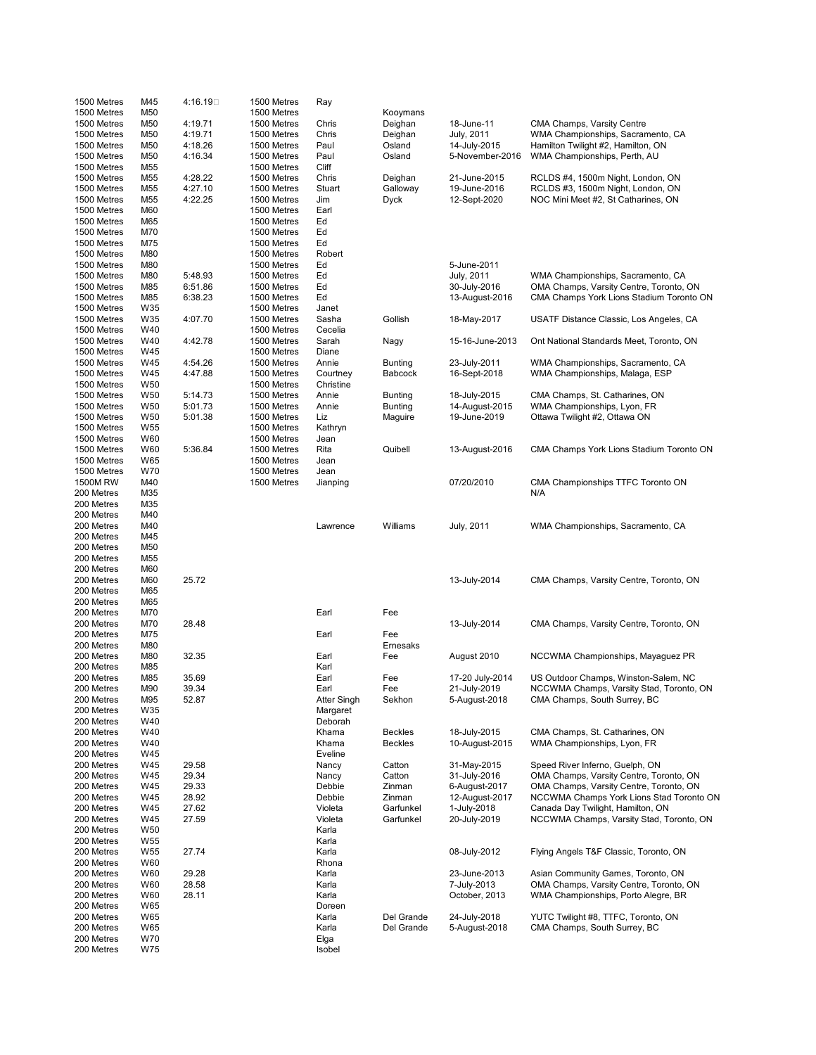| 1500 Metres                | M45                    | 4:16.19□ | 1500 Metres                | Ray                 |                |                 |                                          |
|----------------------------|------------------------|----------|----------------------------|---------------------|----------------|-----------------|------------------------------------------|
| 1500 Metres                | M50                    |          | 1500 Metres                |                     | Kooymans       |                 |                                          |
| 1500 Metres                | M50                    | 4:19.71  | 1500 Metres                | Chris               | Deighan        | 18-June-11      | CMA Champs, Varsity Centre               |
| 1500 Metres                | M50                    | 4:19.71  | 1500 Metres                | Chris               | Deighan        | July, 2011      | WMA Championships, Sacramento, CA        |
| 1500 Metres<br>1500 Metres | M50                    | 4:18.26  | 1500 Metres                | Paul                | Osland         | 14-July-2015    | Hamilton Twilight #2, Hamilton, ON       |
| 1500 Metres                | M50<br>M55             | 4:16.34  | 1500 Metres<br>1500 Metres | Paul<br>Cliff       | Osland         | 5-November-2016 | WMA Championships, Perth, AU             |
| 1500 Metres                | M55                    | 4:28.22  | 1500 Metres                | Chris               | Deighan        | 21-June-2015    | RCLDS #4, 1500m Night, London, ON        |
| 1500 Metres                | M55                    | 4:27.10  | 1500 Metres                | Stuart              | Galloway       | 19-June-2016    | RCLDS #3, 1500m Night, London, ON        |
| 1500 Metres                | M55                    | 4:22.25  | 1500 Metres                | Jim                 | <b>Dyck</b>    | 12-Sept-2020    | NOC Mini Meet #2, St Catharines, ON      |
| 1500 Metres                | M60                    |          | 1500 Metres                | Earl                |                |                 |                                          |
| 1500 Metres                | M65                    |          | 1500 Metres                | Ed                  |                |                 |                                          |
| 1500 Metres                | M70                    |          | 1500 Metres                | Ed                  |                |                 |                                          |
| 1500 Metres                | M75                    |          | 1500 Metres                | Ed                  |                |                 |                                          |
| 1500 Metres                | M80                    |          | 1500 Metres                | Robert              |                |                 |                                          |
| 1500 Metres                | M80                    |          | 1500 Metres                | Ed                  |                | 5-June-2011     |                                          |
| 1500 Metres                | M80                    | 5:48.93  | 1500 Metres                | Ed                  |                | July, 2011      | WMA Championships, Sacramento, CA        |
| 1500 Metres                | M85                    | 6:51.86  | 1500 Metres                | Ed                  |                | 30-July-2016    | OMA Champs, Varsity Centre, Toronto, ON  |
| 1500 Metres                | M85                    | 6:38.23  | 1500 Metres                | Ed                  |                | 13-August-2016  | CMA Champs York Lions Stadium Toronto ON |
| 1500 Metres                | W35                    |          | 1500 Metres                | Janet               |                |                 |                                          |
| 1500 Metres                | W35                    | 4:07.70  | 1500 Metres                | Sasha               | Gollish        | 18-May-2017     | USATF Distance Classic, Los Angeles, CA  |
| 1500 Metres                | W40                    |          | 1500 Metres                | Cecelia             |                |                 |                                          |
| 1500 Metres                | W40                    | 4:42.78  | 1500 Metres                | Sarah               | Nagy           | 15-16-June-2013 | Ont National Standards Meet, Toronto, ON |
| 1500 Metres                | W45                    |          | 1500 Metres                | Diane               |                |                 |                                          |
| 1500 Metres                | W45                    | 4:54.26  | 1500 Metres                | Annie               | <b>Bunting</b> | 23-July-2011    | WMA Championships, Sacramento, CA        |
| 1500 Metres                | W45                    | 4:47.88  | 1500 Metres                | Courtney            | Babcock        | 16-Sept-2018    | WMA Championships, Malaga, ESP           |
| 1500 Metres                | W <sub>50</sub>        |          | 1500 Metres                | Christine           |                |                 |                                          |
| 1500 Metres                | W <sub>50</sub>        | 5:14.73  | 1500 Metres                | Annie               | <b>Bunting</b> | 18-July-2015    | CMA Champs, St. Catharines, ON           |
| 1500 Metres                | W <sub>50</sub>        | 5:01.73  | 1500 Metres                | Annie               | <b>Bunting</b> | 14-August-2015  | WMA Championships, Lyon, FR              |
| 1500 Metres                | W <sub>50</sub>        | 5:01.38  | 1500 Metres                | Liz                 | Maguire        | 19-June-2019    | Ottawa Twilight #2, Ottawa ON            |
| 1500 Metres<br>1500 Metres | W <sub>55</sub><br>W60 |          | 1500 Metres<br>1500 Metres | Kathryn             |                |                 |                                          |
| 1500 Metres                | W60                    | 5:36.84  | 1500 Metres                | Jean<br>Rita        | Quibell        | 13-August-2016  | CMA Champs York Lions Stadium Toronto ON |
| 1500 Metres                | W65                    |          | 1500 Metres                | Jean                |                |                 |                                          |
| 1500 Metres                | W70                    |          | 1500 Metres                | Jean                |                |                 |                                          |
| 1500M RW                   | M40                    |          | 1500 Metres                | Jianping            |                | 07/20/2010      | CMA Championships TTFC Toronto ON        |
| 200 Metres                 | M35                    |          |                            |                     |                |                 | N/A                                      |
| 200 Metres                 | M35                    |          |                            |                     |                |                 |                                          |
| 200 Metres                 | M40                    |          |                            |                     |                |                 |                                          |
| 200 Metres                 | M40                    |          |                            | Lawrence            | Williams       | July, 2011      | WMA Championships, Sacramento, CA        |
| 200 Metres                 | M45                    |          |                            |                     |                |                 |                                          |
| 200 Metres                 | M50                    |          |                            |                     |                |                 |                                          |
| 200 Metres                 | M <sub>55</sub>        |          |                            |                     |                |                 |                                          |
| 200 Metres                 | M60                    |          |                            |                     |                |                 |                                          |
| 200 Metres                 | M60                    | 25.72    |                            |                     |                | 13-July-2014    | CMA Champs, Varsity Centre, Toronto, ON  |
| 200 Metres                 | M65                    |          |                            |                     |                |                 |                                          |
| 200 Metres                 | M65                    |          |                            |                     |                |                 |                                          |
| 200 Metres                 | M70                    |          |                            | Earl                | Fee            |                 |                                          |
| 200 Metres                 | M70                    | 28.48    |                            |                     |                | 13-July-2014    | CMA Champs, Varsity Centre, Toronto, ON  |
| 200 Metres                 | M75                    |          |                            | Earl                | Fee            |                 |                                          |
| 200 Metres                 | M80                    |          |                            |                     | Ernesaks       |                 |                                          |
| 200 Metres                 | M80                    | 32.35    |                            | Earl                | Fee            | August 2010     | NCCWMA Championships, Mayaguez PR        |
| 200 Metres                 | M85                    |          |                            | Karl                |                |                 |                                          |
| 200 Metres                 | M85                    | 35.69    |                            | Earl                | Fee            | 17-20 July-2014 | US Outdoor Champs, Winston-Salem, NC     |
| 200 Metres                 | M90                    | 39.34    |                            | Earl                | Fee            | 21-July-2019    | NCCWMA Champs, Varsity Stad, Toronto, ON |
| 200 Metres                 | M95                    | 52.87    |                            | Atter Singh         | Sekhon         | 5-August-2018   | CMA Champs, South Surrey, BC             |
| 200 Metres<br>200 Metres   | W35<br>W40             |          |                            | Margaret<br>Deborah |                |                 |                                          |
| 200 Metres                 | W40                    |          |                            | Khama               | <b>Beckles</b> | 18-July-2015    | CMA Champs, St. Catharines, ON           |
| 200 Metres                 | W40                    |          |                            | Khama               | <b>Beckles</b> | 10-August-2015  | WMA Championships, Lyon, FR              |
| 200 Metres                 | W45                    |          |                            | Eveline             |                |                 |                                          |
| 200 Metres                 | W45                    | 29.58    |                            | Nancy               | Catton         | 31-May-2015     | Speed River Inferno, Guelph, ON          |
| 200 Metres                 | W45                    | 29.34    |                            | Nancy               | Catton         | 31-July-2016    | OMA Champs, Varsity Centre, Toronto, ON  |
| 200 Metres                 | W45                    | 29.33    |                            | Debbie              | Zinman         | 6-August-2017   | OMA Champs, Varsity Centre, Toronto, ON  |
| 200 Metres                 | W45                    | 28.92    |                            | Debbie              | Zinman         | 12-August-2017  | NCCWMA Champs York Lions Stad Toronto ON |
| 200 Metres                 | W45                    | 27.62    |                            | Violeta             | Garfunkel      | 1-July-2018     | Canada Day Twilight, Hamilton, ON        |
| 200 Metres                 | W45                    | 27.59    |                            | Violeta             | Garfunkel      | 20-July-2019    | NCCWMA Champs, Varsity Stad, Toronto, ON |
| 200 Metres                 | W <sub>50</sub>        |          |                            | Karla               |                |                 |                                          |
| 200 Metres                 | W <sub>55</sub>        |          |                            | Karla               |                |                 |                                          |
| 200 Metres                 | W <sub>55</sub>        | 27.74    |                            | Karla               |                | 08-July-2012    | Flying Angels T&F Classic, Toronto, ON   |
| 200 Metres                 | W60                    |          |                            | Rhona               |                |                 |                                          |
| 200 Metres                 | W60                    | 29.28    |                            | Karla               |                | 23-June-2013    | Asian Community Games, Toronto, ON       |
| 200 Metres                 | W60                    | 28.58    |                            | Karla               |                | 7-July-2013     | OMA Champs, Varsity Centre, Toronto, ON  |
| 200 Metres                 | W60                    | 28.11    |                            | Karla               |                | October, 2013   | WMA Championships, Porto Alegre, BR      |
| 200 Metres                 | W65                    |          |                            | Doreen              |                |                 |                                          |
| 200 Metres                 | W65                    |          |                            | Karla               | Del Grande     | 24-July-2018    | YUTC Twilight #8, TTFC, Toronto, ON      |
| 200 Metres                 | W65                    |          |                            | Karla               | Del Grande     | 5-August-2018   | CMA Champs, South Surrey, BC             |
| 200 Metres                 | W70                    |          |                            | Elga                |                |                 |                                          |
| 200 Metres                 | W75                    |          |                            | Isobel              |                |                 |                                          |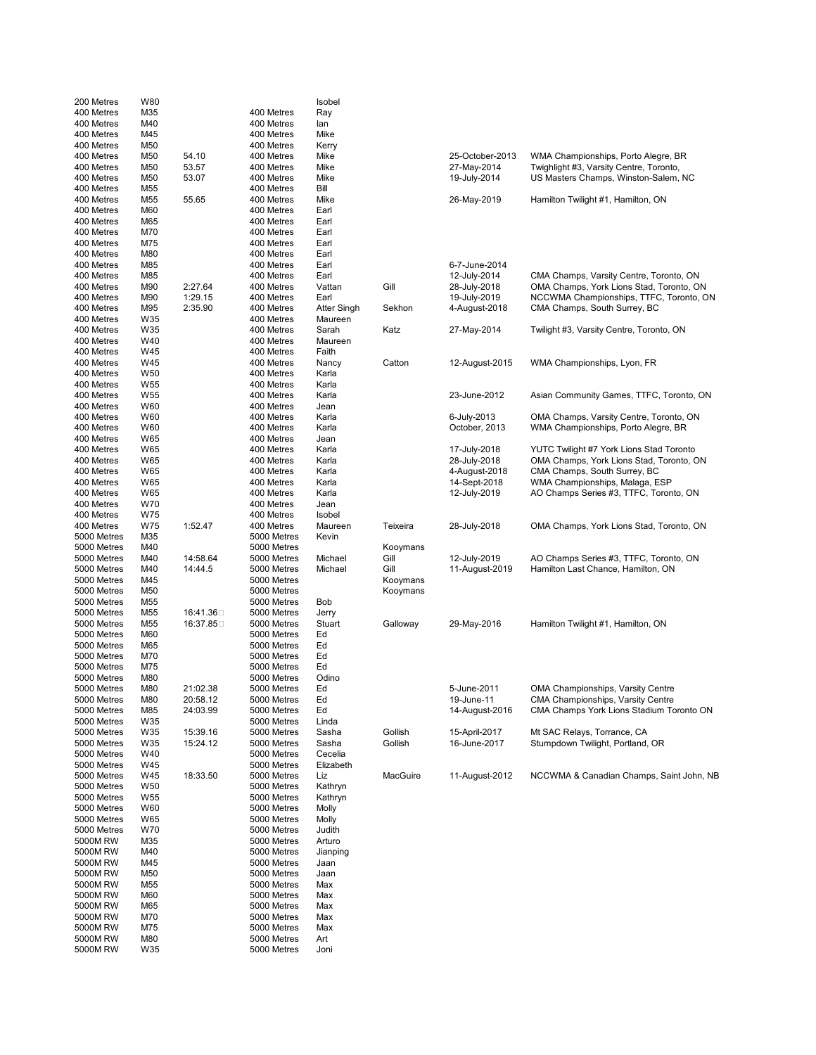| 200 Metres               | W80             |           |                          | Isobel         |          |                              |                                                                                     |
|--------------------------|-----------------|-----------|--------------------------|----------------|----------|------------------------------|-------------------------------------------------------------------------------------|
| 400 Metres               | M35             |           | 400 Metres               | Ray            |          |                              |                                                                                     |
| 400 Metres               | M40             |           | 400 Metres               | lan            |          |                              |                                                                                     |
| 400 Metres               | M45             |           | 400 Metres               | Mike           |          |                              |                                                                                     |
| 400 Metres               | M50             |           | 400 Metres               | Kerry          |          |                              |                                                                                     |
| 400 Metres               | M50             | 54.10     | 400 Metres               | Mike           |          | 25-October-2013              | WMA Championships, Porto Alegre, BR                                                 |
| 400 Metres               | M50             | 53.57     | 400 Metres               | Mike           |          | 27-May-2014                  | Twighlight #3, Varsity Centre, Toronto,                                             |
| 400 Metres               | M50             | 53.07     | 400 Metres               | Mike           |          | 19-July-2014                 | US Masters Champs, Winston-Salem, NC                                                |
| 400 Metres               | M <sub>55</sub> |           | 400 Metres               | Bill           |          |                              |                                                                                     |
| 400 Metres               | M <sub>55</sub> | 55.65     | 400 Metres               | Mike           |          | 26-May-2019                  | Hamilton Twilight #1, Hamilton, ON                                                  |
| 400 Metres               | M60             |           | 400 Metres               | Earl           |          |                              |                                                                                     |
| 400 Metres               | M65             |           | 400 Metres               | Earl           |          |                              |                                                                                     |
| 400 Metres               | M70             |           | 400 Metres               | Earl           |          |                              |                                                                                     |
| 400 Metres<br>400 Metres | M75             |           | 400 Metres               | Earl           |          |                              |                                                                                     |
|                          | M80<br>M85      |           | 400 Metres               | Earl           |          | 6-7-June-2014                |                                                                                     |
| 400 Metres               |                 |           | 400 Metres               | Earl           |          |                              |                                                                                     |
| 400 Metres<br>400 Metres | M85<br>M90      | 2:27.64   | 400 Metres<br>400 Metres | Earl<br>Vattan | Gill     | 12-July-2014<br>28-July-2018 | CMA Champs, Varsity Centre, Toronto, ON<br>OMA Champs, York Lions Stad, Toronto, ON |
| 400 Metres               | M90             | 1:29.15   | 400 Metres               | Earl           |          | 19-July-2019                 | NCCWMA Championships, TTFC, Toronto, ON                                             |
| 400 Metres               | M95             | 2:35.90   | 400 Metres               | Atter Singh    | Sekhon   | 4-August-2018                | CMA Champs, South Surrey, BC                                                        |
| 400 Metres               | W35             |           | 400 Metres               | Maureen        |          |                              |                                                                                     |
| 400 Metres               | W35             |           | 400 Metres               | Sarah          | Katz     | 27-May-2014                  | Twilight #3, Varsity Centre, Toronto, ON                                            |
| 400 Metres               | W40             |           | 400 Metres               | Maureen        |          |                              |                                                                                     |
| 400 Metres               | W45             |           | 400 Metres               | Faith          |          |                              |                                                                                     |
| 400 Metres               | W45             |           | 400 Metres               | Nancy          | Catton   | 12-August-2015               | WMA Championships, Lyon, FR                                                         |
| 400 Metres               | W <sub>50</sub> |           | 400 Metres               | Karla          |          |                              |                                                                                     |
| 400 Metres               | W <sub>55</sub> |           | 400 Metres               | Karla          |          |                              |                                                                                     |
| 400 Metres               | W <sub>55</sub> |           | 400 Metres               | Karla          |          | 23-June-2012                 | Asian Community Games, TTFC, Toronto, ON                                            |
| 400 Metres               | W60             |           | 400 Metres               | Jean           |          |                              |                                                                                     |
| 400 Metres               | W60             |           | 400 Metres               | Karla          |          | 6-July-2013                  | OMA Champs, Varsity Centre, Toronto, ON                                             |
| 400 Metres               | W60             |           | 400 Metres               | Karla          |          | October, 2013                | WMA Championships, Porto Alegre, BR                                                 |
| 400 Metres               | W65             |           | 400 Metres               | Jean           |          |                              |                                                                                     |
| 400 Metres               | W65             |           | 400 Metres               | Karla          |          | 17-July-2018                 | YUTC Twilight #7 York Lions Stad Toronto                                            |
| 400 Metres               | W65             |           | 400 Metres               | Karla          |          | 28-July-2018                 | OMA Champs, York Lions Stad, Toronto, ON                                            |
| 400 Metres               | W65             |           | 400 Metres               | Karla          |          | 4-August-2018                | CMA Champs, South Surrey, BC                                                        |
| 400 Metres               | W65             |           | 400 Metres               | Karla          |          | 14-Sept-2018                 | WMA Championships, Malaga, ESP                                                      |
| 400 Metres               | W65             |           | 400 Metres               | Karla          |          | 12-July-2019                 | AO Champs Series #3, TTFC, Toronto, ON                                              |
| 400 Metres               | W70             |           | 400 Metres               | Jean           |          |                              |                                                                                     |
| 400 Metres               | W75             |           | 400 Metres               | Isobel         |          |                              |                                                                                     |
| 400 Metres               | W75             | 1:52.47   | 400 Metres               | Maureen        | Teixeira | 28-July-2018                 | OMA Champs, York Lions Stad, Toronto, ON                                            |
| 5000 Metres              | M35             |           | 5000 Metres              | Kevin          |          |                              |                                                                                     |
| 5000 Metres              | M40             |           | 5000 Metres              |                | Kooymans |                              |                                                                                     |
| 5000 Metres              | M40             | 14:58.64  | 5000 Metres              | Michael        | Gill     | 12-July-2019                 | AO Champs Series #3, TTFC, Toronto, ON                                              |
| 5000 Metres              | M40             | 14:44.5   | 5000 Metres              | Michael        | Gill     | 11-August-2019               | Hamilton Last Chance, Hamilton, ON                                                  |
| 5000 Metres              | M45             |           | 5000 Metres              |                | Kooymans |                              |                                                                                     |
| 5000 Metres              | M50             |           | 5000 Metres              |                | Kooymans |                              |                                                                                     |
| 5000 Metres              | M <sub>55</sub> |           | 5000 Metres              | Bob            |          |                              |                                                                                     |
| 5000 Metres              | M <sub>55</sub> | 16:41.36□ | 5000 Metres              | Jerry          |          |                              |                                                                                     |
| 5000 Metres              | M55             | 16:37.85□ | 5000 Metres              | Stuart         | Galloway | 29-May-2016                  | Hamilton Twilight #1, Hamilton, ON                                                  |
| 5000 Metres              | M60             |           | 5000 Metres              | Ed             |          |                              |                                                                                     |
| 5000 Metres              | M65             |           | 5000 Metres              | Ed             |          |                              |                                                                                     |
| 5000 Metres              | M70             |           | 5000 Metres              | Ed             |          |                              |                                                                                     |
| 5000 Metres              | M75             |           | 5000 Metres              | Ed             |          |                              |                                                                                     |
| 5000 Metres              | M80             |           | 5000 Metres              | Odino          |          |                              |                                                                                     |
| 5000 Metres              | M80             | 21:02.38  | 5000 Metres              | Ed             |          | 5-June-2011                  | <b>OMA Championships, Varsity Centre</b>                                            |
| 5000 Metres              | M80             | 20:58.12  | 5000 Metres              | Ed             |          | 19-June-11                   | CMA Championships, Varsity Centre                                                   |
| 5000 Metres              | M85             | 24:03.99  | 5000 Metres              | Ed             |          | 14-August-2016               | CMA Champs York Lions Stadium Toronto ON                                            |
| 5000 Metres              | W35             |           | 5000 Metres              | Linda          |          |                              |                                                                                     |
| 5000 Metres              | W35             | 15:39.16  | 5000 Metres              | Sasha          | Gollish  | 15-April-2017                | Mt SAC Relays, Torrance, CA                                                         |
| 5000 Metres              | W35             | 15:24.12  | 5000 Metres              | Sasha          | Gollish  | 16-June-2017                 | Stumpdown Twilight, Portland, OR                                                    |
| 5000 Metres              | W40             |           | 5000 Metres              | Cecelia        |          |                              |                                                                                     |
| 5000 Metres              | W45             |           | 5000 Metres              | Elizabeth      |          |                              |                                                                                     |
| 5000 Metres              | W45             | 18:33.50  | 5000 Metres              | Liz            | MacGuire | 11-August-2012               | NCCWMA & Canadian Champs, Saint John, NB                                            |
| 5000 Metres              | W50             |           | 5000 Metres              | Kathryn        |          |                              |                                                                                     |
| 5000 Metres              | W55             |           | 5000 Metres              | Kathryn        |          |                              |                                                                                     |
| 5000 Metres              | W60             |           | 5000 Metres              | Molly          |          |                              |                                                                                     |
| 5000 Metres              | W65             |           | 5000 Metres              | Molly          |          |                              |                                                                                     |
| 5000 Metres              | W70             |           | 5000 Metres              | Judith         |          |                              |                                                                                     |
| 5000M RW                 | M35             |           | 5000 Metres              | Arturo         |          |                              |                                                                                     |
| 5000M RW                 | M40             |           | 5000 Metres              | Jianping       |          |                              |                                                                                     |
| 5000M RW                 | M45             |           | 5000 Metres              | Jaan           |          |                              |                                                                                     |
| 5000M RW                 | M50             |           | 5000 Metres              | Jaan           |          |                              |                                                                                     |
| 5000M RW                 | M55             |           | 5000 Metres              | Max            |          |                              |                                                                                     |
| 5000M RW                 | M60             |           | 5000 Metres              | Max            |          |                              |                                                                                     |
| 5000M RW                 | M65             |           | 5000 Metres              | Max            |          |                              |                                                                                     |
| 5000M RW                 | M70             |           | 5000 Metres              | Max            |          |                              |                                                                                     |
| 5000M RW                 | M75             |           | 5000 Metres              | Max            |          |                              |                                                                                     |
| 5000M RW                 | M80             |           | 5000 Metres              | Art            |          |                              |                                                                                     |
| 5000M RW                 | W35             |           | 5000 Metres              | Joni           |          |                              |                                                                                     |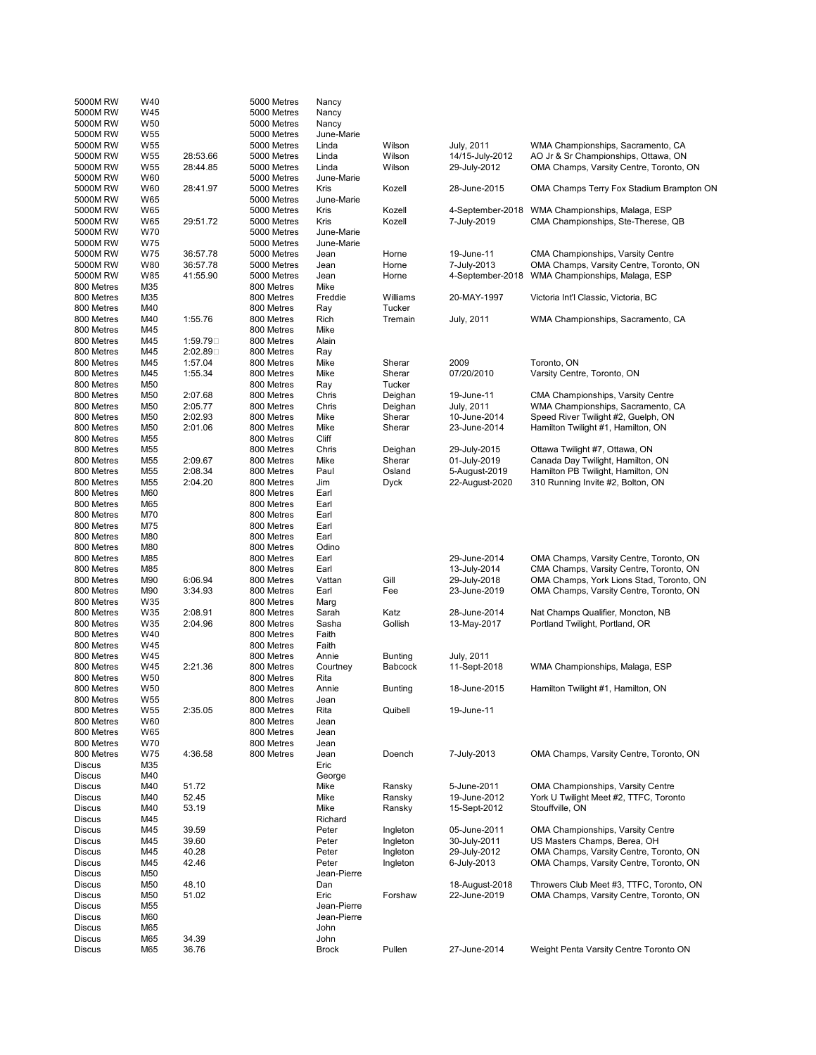| 5000M RW      | W40             |          | 5000 Metres | Nancy        |                |                 |                                                 |
|---------------|-----------------|----------|-------------|--------------|----------------|-----------------|-------------------------------------------------|
| 5000M RW      | W45             |          | 5000 Metres | Nancy        |                |                 |                                                 |
| 5000M RW      | W50             |          | 5000 Metres | Nancy        |                |                 |                                                 |
| 5000M RW      | W <sub>55</sub> |          | 5000 Metres | June-Marie   |                |                 |                                                 |
| 5000M RW      | W55             |          | 5000 Metres | Linda        | Wilson         | July, 2011      | WMA Championships, Sacramento, CA               |
| 5000M RW      | W <sub>55</sub> | 28:53.66 | 5000 Metres | Linda        | Wilson         | 14/15-July-2012 | AO Jr & Sr Championships, Ottawa, ON            |
| 5000M RW      | W <sub>55</sub> | 28:44.85 | 5000 Metres | Linda        | Wilson         | 29-July-2012    | OMA Champs, Varsity Centre, Toronto, ON         |
| 5000M RW      | W60             |          | 5000 Metres | June-Marie   |                |                 |                                                 |
|               |                 |          |             |              |                |                 |                                                 |
| 5000M RW      | W60             | 28:41.97 | 5000 Metres | Kris         | Kozell         | 28-June-2015    | OMA Champs Terry Fox Stadium Brampton ON        |
| 5000M RW      | W65             |          | 5000 Metres | June-Marie   |                |                 |                                                 |
| 5000M RW      | W65             |          | 5000 Metres | Kris         | Kozell         |                 | 4-September-2018 WMA Championships, Malaga, ESP |
| 5000M RW      | W65             | 29:51.72 | 5000 Metres | Kris         | Kozell         | 7-July-2019     | CMA Championships, Ste-Therese, QB              |
| 5000M RW      | W70             |          | 5000 Metres | June-Marie   |                |                 |                                                 |
| 5000M RW      | W75             |          | 5000 Metres | June-Marie   |                |                 |                                                 |
| 5000M RW      | W75             | 36:57.78 | 5000 Metres | Jean         | Horne          | 19-June-11      | CMA Championships, Varsity Centre               |
| 5000M RW      | W80             | 36:57.78 | 5000 Metres | Jean         | Horne          | 7-July-2013     | OMA Champs, Varsity Centre, Toronto, ON         |
| 5000M RW      | W85             | 41:55.90 | 5000 Metres | Jean         | Horne          |                 | 4-September-2018 WMA Championships, Malaga, ESP |
|               |                 |          |             |              |                |                 |                                                 |
| 800 Metres    | M35             |          | 800 Metres  | Mike         |                |                 |                                                 |
| 800 Metres    | M35             |          | 800 Metres  | Freddie      | Williams       | 20-MAY-1997     | Victoria Int'l Classic, Victoria, BC            |
| 800 Metres    | M40             |          | 800 Metres  | Ray          | Tucker         |                 |                                                 |
| 800 Metres    | M40             | 1:55.76  | 800 Metres  | Rich         | Tremain        | July, 2011      | WMA Championships, Sacramento, CA               |
| 800 Metres    | M45             |          | 800 Metres  | Mike         |                |                 |                                                 |
| 800 Metres    | M45             | 1:59.79□ | 800 Metres  | Alain        |                |                 |                                                 |
| 800 Metres    | M45             | 2:02.89□ | 800 Metres  | Ray          |                |                 |                                                 |
| 800 Metres    | M45             | 1:57.04  | 800 Metres  | Mike         | Sherar         | 2009            | Toronto, ON                                     |
|               |                 |          |             |              |                |                 |                                                 |
| 800 Metres    | M45             | 1:55.34  | 800 Metres  | Mike         | Sherar         | 07/20/2010      | Varsity Centre, Toronto, ON                     |
| 800 Metres    | M50             |          | 800 Metres  | Ray          | Tucker         |                 |                                                 |
| 800 Metres    | M50             | 2:07.68  | 800 Metres  | Chris        | Deighan        | 19-June-11      | CMA Championships, Varsity Centre               |
| 800 Metres    | M50             | 2:05.77  | 800 Metres  | Chris        | Deighan        | July, 2011      | WMA Championships, Sacramento, CA               |
| 800 Metres    | M50             | 2:02.93  | 800 Metres  | Mike         | Sherar         | 10-June-2014    | Speed River Twilight #2, Guelph, ON             |
| 800 Metres    | M50             | 2:01.06  | 800 Metres  | Mike         | Sherar         | 23-June-2014    | Hamilton Twilight #1, Hamilton, ON              |
| 800 Metres    | M55             |          | 800 Metres  | Cliff        |                |                 |                                                 |
| 800 Metres    | M55             |          | 800 Metres  | Chris        | Deighan        | 29-July-2015    | Ottawa Twilight #7, Ottawa, ON                  |
| 800 Metres    | M55             | 2:09.67  | 800 Metres  | Mike         | Sherar         | 01-July-2019    | Canada Day Twilight, Hamilton, ON               |
|               | M55             | 2:08.34  | 800 Metres  |              | Osland         | 5-August-2019   | Hamilton PB Twilight, Hamilton, ON              |
| 800 Metres    |                 |          |             | Paul         |                |                 |                                                 |
| 800 Metres    | M55             | 2:04.20  | 800 Metres  | Jim          | Dyck           | 22-August-2020  | 310 Running Invite #2, Bolton, ON               |
| 800 Metres    | M60             |          | 800 Metres  | Earl         |                |                 |                                                 |
| 800 Metres    | M65             |          | 800 Metres  | Earl         |                |                 |                                                 |
| 800 Metres    | M70             |          | 800 Metres  | Earl         |                |                 |                                                 |
| 800 Metres    | M75             |          | 800 Metres  | Earl         |                |                 |                                                 |
| 800 Metres    | M80             |          | 800 Metres  | Earl         |                |                 |                                                 |
| 800 Metres    | M80             |          | 800 Metres  | Odino        |                |                 |                                                 |
| 800 Metres    | M85             |          | 800 Metres  | Earl         |                | 29-June-2014    | OMA Champs, Varsity Centre, Toronto, ON         |
| 800 Metres    | M85             |          | 800 Metres  | Earl         |                | 13-July-2014    | CMA Champs, Varsity Centre, Toronto, ON         |
| 800 Metres    | M90             | 6:06.94  | 800 Metres  | Vattan       | Gill           | 29-July-2018    | OMA Champs, York Lions Stad, Toronto, ON        |
|               |                 |          |             |              |                |                 |                                                 |
| 800 Metres    | M90             | 3:34.93  | 800 Metres  | Earl         | Fee            | 23-June-2019    | OMA Champs, Varsity Centre, Toronto, ON         |
| 800 Metres    | W35             |          | 800 Metres  | Marg         |                |                 |                                                 |
| 800 Metres    | W35             | 2:08.91  | 800 Metres  | Sarah        | Katz           | 28-June-2014    | Nat Champs Qualifier, Moncton, NB               |
| 800 Metres    | W35             | 2:04.96  | 800 Metres  | Sasha        | Gollish        | 13-May-2017     | Portland Twilight, Portland, OR                 |
| 800 Metres    | W40             |          | 800 Metres  | Faith        |                |                 |                                                 |
| 800 Metres    | W45             |          | 800 Metres  | Faith        |                |                 |                                                 |
| 800 Metres    | W45             |          | 800 Metres  | Annie        | <b>Bunting</b> | July, 2011      |                                                 |
| 800 Metres    | W45             | 2:21.36  | 800 Metres  | Courtney     | Babcock        | 11-Sept-2018    | WMA Championships, Malaga, ESP                  |
| 800 Metres    | W50             |          | 800 Metres  | Rita         |                |                 |                                                 |
| 800 Metres    | W50             |          | 800 Metres  | Annie        | <b>Bunting</b> | 18-June-2015    | Hamilton Twilight #1, Hamilton, ON              |
| 800 Metres    | W55             |          | 800 Metres  | Jean         |                |                 |                                                 |
|               |                 |          |             |              |                |                 |                                                 |
| 800 Metres    | W55             | 2:35.05  | 800 Metres  | Rita         | Quibell        | 19-June-11      |                                                 |
| 800 Metres    | W60             |          | 800 Metres  | Jean         |                |                 |                                                 |
| 800 Metres    | W65             |          | 800 Metres  | Jean         |                |                 |                                                 |
| 800 Metres    | W70             |          | 800 Metres  | Jean         |                |                 |                                                 |
| 800 Metres    | W75             | 4:36.58  | 800 Metres  | Jean         | Doench         | 7-July-2013     | OMA Champs, Varsity Centre, Toronto, ON         |
| <b>Discus</b> | M35             |          |             | Eric         |                |                 |                                                 |
| Discus        | M40             |          |             | George       |                |                 |                                                 |
| <b>Discus</b> | M40             | 51.72    |             | Mike         | Ransky         | 5-June-2011     | <b>OMA Championships, Varsity Centre</b>        |
| <b>Discus</b> | M40             | 52.45    |             | Mike         | Ransky         | 19-June-2012    | York U Twilight Meet #2, TTFC, Toronto          |
| <b>Discus</b> | M40             | 53.19    |             | Mike         | Ransky         | 15-Sept-2012    | Stouffville, ON                                 |
| <b>Discus</b> | M45             |          |             | Richard      |                |                 |                                                 |
|               |                 |          |             |              |                |                 |                                                 |
| <b>Discus</b> | M45             | 39.59    |             | Peter        | Ingleton       | 05-June-2011    | OMA Championships, Varsity Centre               |
| <b>Discus</b> | M45             | 39.60    |             | Peter        | Ingleton       | 30-July-2011    | US Masters Champs, Berea, OH                    |
| <b>Discus</b> | M45             | 40.28    |             | Peter        | Ingleton       | 29-July-2012    | OMA Champs, Varsity Centre, Toronto, ON         |
| <b>Discus</b> | M45             | 42.46    |             | Peter        | Ingleton       | 6-July-2013     | OMA Champs, Varsity Centre, Toronto, ON         |
| Discus        | M50             |          |             | Jean-Pierre  |                |                 |                                                 |
| <b>Discus</b> | M50             | 48.10    |             | Dan          |                | 18-August-2018  | Throwers Club Meet #3, TTFC, Toronto, ON        |
| Discus        | M50             | 51.02    |             | Eric         | Forshaw        | 22-June-2019    | OMA Champs, Varsity Centre, Toronto, ON         |
| <b>Discus</b> | M55             |          |             | Jean-Pierre  |                |                 |                                                 |
| <b>Discus</b> | M60             |          |             | Jean-Pierre  |                |                 |                                                 |
|               |                 |          |             |              |                |                 |                                                 |
| <b>Discus</b> | M65             |          |             | John         |                |                 |                                                 |
| <b>Discus</b> | M65             | 34.39    |             | John         |                |                 |                                                 |
| Discus        | M65             | 36.76    |             | <b>Brock</b> | Pullen         | 27-June-2014    | Weight Penta Varsity Centre Toronto ON          |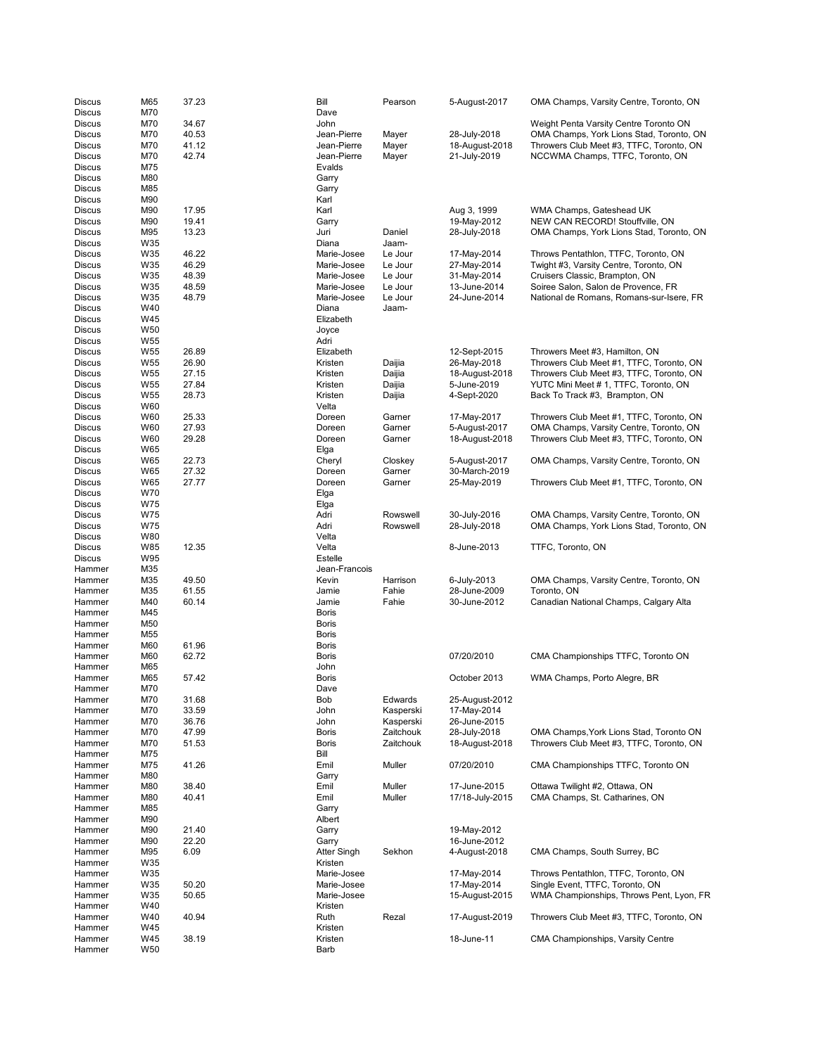| Discus                         | M65                    | 37.23          | Bill          | Pearson          | 5-August-2017                   | OMA Champs, Varsity Centre, Toronto, ON                          |
|--------------------------------|------------------------|----------------|---------------|------------------|---------------------------------|------------------------------------------------------------------|
| <b>Discus</b>                  | M70                    |                | Dave          |                  |                                 |                                                                  |
| <b>Discus</b>                  | M70                    | 34.67          | John          |                  |                                 | Weight Penta Varsity Centre Toronto ON                           |
| <b>Discus</b>                  | M70                    | 40.53          | Jean-Pierre   | Mayer            | 28-July-2018                    | OMA Champs, York Lions Stad, Toronto, ON                         |
| <b>Discus</b>                  | M70                    | 41.12          | Jean-Pierre   | Mayer            | 18-August-2018                  | Throwers Club Meet #3, TTFC, Toronto, ON                         |
| <b>Discus</b>                  | M70                    | 42.74          | Jean-Pierre   | Mayer            | 21-July-2019                    | NCCWMA Champs, TTFC, Toronto, ON                                 |
| <b>Discus</b>                  | M75                    |                | Evalds        |                  |                                 |                                                                  |
| <b>Discus</b>                  | M80                    |                | Garry         |                  |                                 |                                                                  |
| Discus                         | M85                    |                | Garry         |                  |                                 |                                                                  |
| <b>Discus</b>                  | M90                    |                | Karl          |                  |                                 |                                                                  |
| <b>Discus</b>                  | M90                    | 17.95          | Karl          |                  | Aug 3, 1999                     | WMA Champs, Gateshead UK                                         |
| <b>Discus</b>                  | M90                    | 19.41          | Garry         |                  | 19-May-2012                     | NEW CAN RECORD! Stouffville, ON                                  |
| <b>Discus</b>                  | M95                    | 13.23          | Juri          | Daniel           | 28-July-2018                    | OMA Champs, York Lions Stad, Toronto, ON                         |
| <b>Discus</b>                  | W35                    |                | Diana         | Jaam-            |                                 |                                                                  |
| <b>Discus</b>                  | W35                    | 46.22          | Marie-Josee   | Le Jour          | 17-May-2014                     | Throws Pentathlon, TTFC, Toronto, ON                             |
| Discus                         | W35                    | 46.29          | Marie-Josee   | Le Jour          | 27-May-2014                     | Twight #3, Varsity Centre, Toronto, ON                           |
| Discus                         | W35                    | 48.39          | Marie-Josee   | Le Jour          | 31-May-2014                     | Cruisers Classic, Brampton, ON                                   |
| <b>Discus</b>                  | W35                    | 48.59          | Marie-Josee   | Le Jour          | 13-June-2014                    | Soiree Salon, Salon de Provence, FR                              |
| <b>Discus</b>                  | W35                    | 48.79          | Marie-Josee   | Le Jour          | 24-June-2014                    | National de Romans, Romans-sur-Isere, FR                         |
| <b>Discus</b>                  | W40                    |                | Diana         | Jaam-            |                                 |                                                                  |
| <b>Discus</b>                  | W45<br>W <sub>50</sub> |                | Elizabeth     |                  |                                 |                                                                  |
| <b>Discus</b><br><b>Discus</b> | W <sub>55</sub>        |                | Joyce<br>Adri |                  |                                 |                                                                  |
| <b>Discus</b>                  | W <sub>55</sub>        | 26.89          | Elizabeth     |                  | 12-Sept-2015                    | Throwers Meet #3, Hamilton, ON                                   |
| <b>Discus</b>                  | W <sub>55</sub>        | 26.90          | Kristen       | Daijia           | 26-May-2018                     | Throwers Club Meet #1, TTFC, Toronto, ON                         |
| <b>Discus</b>                  | W <sub>55</sub>        | 27.15          | Kristen       | Daijia           | 18-August-2018                  | Throwers Club Meet #3, TTFC, Toronto, ON                         |
| <b>Discus</b>                  | W <sub>55</sub>        | 27.84          | Kristen       | Daijia           | 5-June-2019                     | YUTC Mini Meet # 1, TTFC, Toronto, ON                            |
| <b>Discus</b>                  | W <sub>55</sub>        | 28.73          | Kristen       | Daijia           | 4-Sept-2020                     | Back To Track #3, Brampton, ON                                   |
| <b>Discus</b>                  | W60                    |                | Velta         |                  |                                 |                                                                  |
| <b>Discus</b>                  | W60                    | 25.33          | Doreen        | Garner           | 17-May-2017                     | Throwers Club Meet #1, TTFC, Toronto, ON                         |
| <b>Discus</b>                  | W60                    | 27.93          | Doreen        | Garner           | 5-August-2017                   | OMA Champs, Varsity Centre, Toronto, ON                          |
| <b>Discus</b>                  | W60                    | 29.28          | Doreen        | Garner           | 18-August-2018                  | Throwers Club Meet #3, TTFC, Toronto, ON                         |
| <b>Discus</b>                  | W65                    |                | Elga          |                  |                                 |                                                                  |
| Discus                         | W65                    | 22.73          | Cheryl        | Closkey          | 5-August-2017                   | OMA Champs, Varsity Centre, Toronto, ON                          |
| <b>Discus</b>                  | W65                    | 27.32          | Doreen        | Garner           | 30-March-2019                   |                                                                  |
| <b>Discus</b>                  | W65                    | 27.77          | Doreen        | Garner           | 25-May-2019                     | Throwers Club Meet #1, TTFC, Toronto, ON                         |
| <b>Discus</b>                  | W70                    |                | Elga          |                  |                                 |                                                                  |
| <b>Discus</b>                  | W75                    |                | Elga          |                  |                                 |                                                                  |
| <b>Discus</b>                  | W75                    |                | Adri          | Rowswell         | 30-July-2016                    | OMA Champs, Varsity Centre, Toronto, ON                          |
| <b>Discus</b>                  | W75                    |                | Adri          | Rowswell         | 28-July-2018                    | OMA Champs, York Lions Stad, Toronto, ON                         |
| Discus                         | W80                    |                | Velta         |                  |                                 |                                                                  |
| <b>Discus</b>                  | W85                    | 12.35          | Velta         |                  | 8-June-2013                     | TTFC, Toronto, ON                                                |
| Discus                         | W95                    |                | Estelle       |                  |                                 |                                                                  |
| Hammer                         | M35                    |                | Jean-Francois |                  |                                 |                                                                  |
| Hammer                         | M35                    | 49.50          | Kevin         | Harrison         | 6-July-2013                     | OMA Champs, Varsity Centre, Toronto, ON                          |
| Hammer                         | M35                    | 61.55          | Jamie         | Fahie            | 28-June-2009                    | Toronto, ON                                                      |
| Hammer                         | M40                    | 60.14          | Jamie         | Fahie            | 30-June-2012                    | Canadian National Champs, Calgary Alta                           |
| Hammer                         | M45                    |                | <b>Boris</b>  |                  |                                 |                                                                  |
| Hammer                         | M50                    |                | <b>Boris</b>  |                  |                                 |                                                                  |
| Hammer                         | M55                    |                | Boris         |                  |                                 |                                                                  |
| Hammer                         | M60                    | 61.96          | <b>Boris</b>  |                  |                                 |                                                                  |
| Hammer                         | M60                    | 62.72          | <b>Boris</b>  |                  | 07/20/2010                      | CMA Championships TTFC, Toronto ON                               |
| Hammer                         | M65                    |                | John          |                  |                                 |                                                                  |
| Hammer                         | M65                    | 57.42          | Boris         |                  | October 2013                    | WMA Champs, Porto Alegre, BR                                     |
| Hammer                         | M70                    |                | Dave          |                  |                                 |                                                                  |
| Hammer                         | M70                    | 31.68          | Bob           | Edwards          | 25-August-2012                  |                                                                  |
| Hammer                         | M70                    | 33.59          | John          | Kasperski        | 17-May-2014                     |                                                                  |
| Hammer                         | M70                    | 36.76          | John          | Kasperski        | 26-June-2015                    |                                                                  |
| Hammer                         | M70                    | 47.99          | Boris         | Zaitchouk        | 28-July-2018                    | OMA Champs, York Lions Stad, Toronto ON                          |
| Hammer                         | M70                    | 51.53          | <b>Boris</b>  | Zaitchouk        | 18-August-2018                  | Throwers Club Meet #3, TTFC, Toronto, ON                         |
| Hammer                         | M75                    |                | Bill          |                  |                                 |                                                                  |
| Hammer                         | M75<br>M80             | 41.26          | Emil          | Muller           | 07/20/2010                      | CMA Championships TTFC, Toronto ON                               |
| Hammer                         |                        |                | Garry         |                  |                                 |                                                                  |
| Hammer<br>Hammer               | M80<br>M80             | 38.40<br>40.41 | Emil<br>Emil  | Muller<br>Muller | 17-June-2015<br>17/18-July-2015 | Ottawa Twilight #2, Ottawa, ON<br>CMA Champs, St. Catharines, ON |
| Hammer                         | M85                    |                | Garry         |                  |                                 |                                                                  |
| Hammer                         | M90                    |                | Albert        |                  |                                 |                                                                  |
| Hammer                         | M90                    | 21.40          | Garry         |                  | 19-May-2012                     |                                                                  |
| Hammer                         | M90                    | 22.20          | Garry         |                  | 16-June-2012                    |                                                                  |
| Hammer                         | M95                    | 6.09           | Atter Singh   | Sekhon           | 4-August-2018                   | CMA Champs, South Surrey, BC                                     |
| Hammer                         | W35                    |                | Kristen       |                  |                                 |                                                                  |
| Hammer                         | W35                    |                | Marie-Josee   |                  | 17-May-2014                     | Throws Pentathlon, TTFC, Toronto, ON                             |
| Hammer                         | W35                    | 50.20          | Marie-Josee   |                  | 17-May-2014                     | Single Event, TTFC, Toronto, ON                                  |
| Hammer                         | W35                    | 50.65          | Marie-Josee   |                  | 15-August-2015                  | WMA Championships, Throws Pent, Lyon, FR                         |
| Hammer                         | W40                    |                | Kristen       |                  |                                 |                                                                  |
| Hammer                         | W40                    | 40.94          | Ruth          | Rezal            | 17-August-2019                  | Throwers Club Meet #3, TTFC, Toronto, ON                         |
| Hammer                         | W45                    |                | Kristen       |                  |                                 |                                                                  |
| Hammer                         | W45                    | 38.19          | Kristen       |                  | 18-June-11                      | CMA Championships, Varsity Centre                                |
| Hammer                         | W50                    |                | Barb          |                  |                                 |                                                                  |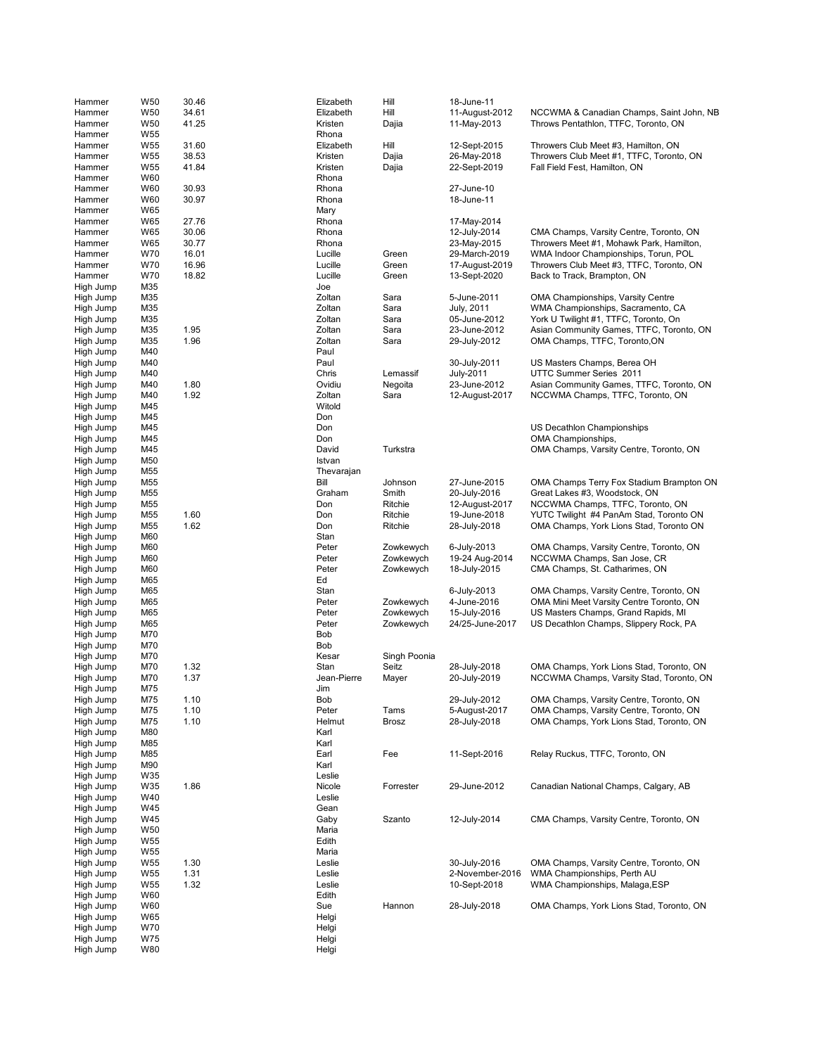| Hammer                 | W <sub>50</sub>                    | 30.46          | Elizabeth            | Hill           | 18-June-11                      |                                                                                      |
|------------------------|------------------------------------|----------------|----------------------|----------------|---------------------------------|--------------------------------------------------------------------------------------|
| Hammer                 | W <sub>50</sub>                    | 34.61          | Elizabeth            | Hill           | 11-August-2012                  | NCCWMA & Canadian Champs, Saint John, NB                                             |
| Hammer                 | W <sub>50</sub>                    | 41.25          | Kristen              | Dajia          | 11-May-2013                     | Throws Pentathlon, TTFC, Toronto, ON                                                 |
| Hammer<br>Hammer       | W <sub>55</sub><br>W <sub>55</sub> | 31.60          | Rhona<br>Elizabeth   | Hill           | 12-Sept-2015                    | Throwers Club Meet #3, Hamilton, ON                                                  |
| Hammer                 | W <sub>55</sub>                    | 38.53          | Kristen              | Dajia          | 26-May-2018                     | Throwers Club Meet #1, TTFC, Toronto, ON                                             |
| Hammer                 | W <sub>55</sub>                    | 41.84          | Kristen              | Dajia          | 22-Sept-2019                    | Fall Field Fest, Hamilton, ON                                                        |
| Hammer                 | W60                                |                | Rhona                |                |                                 |                                                                                      |
| Hammer                 | W60                                | 30.93          | Rhona                |                | 27-June-10                      |                                                                                      |
| Hammer                 | W60                                | 30.97          | Rhona                |                | 18-June-11                      |                                                                                      |
| Hammer                 | W65                                |                | Mary                 |                |                                 |                                                                                      |
| Hammer                 | W65                                | 27.76          | Rhona                |                | 17-May-2014                     |                                                                                      |
| Hammer                 | W65                                | 30.06          | Rhona                |                | 12-July-2014                    | CMA Champs, Varsity Centre, Toronto, ON                                              |
| Hammer<br>Hammer       | W65<br><b>W70</b>                  | 30.77<br>16.01 | Rhona<br>Lucille     | Green          | 23-May-2015<br>29-March-2019    | Throwers Meet #1, Mohawk Park, Hamilton,<br>WMA Indoor Championships, Torun, POL     |
| Hammer                 | <b>W70</b>                         | 16.96          | Lucille              | Green          | 17-August-2019                  | Throwers Club Meet #3, TTFC, Toronto, ON                                             |
| Hammer                 | <b>W70</b>                         | 18.82          | Lucille              | Green          | 13-Sept-2020                    | Back to Track, Brampton, ON                                                          |
| High Jump              | M35                                |                | Joe                  |                |                                 |                                                                                      |
| High Jump              | M35                                |                | Zoltan               | Sara           | 5-June-2011                     | <b>OMA Championships, Varsity Centre</b>                                             |
| High Jump              | M35                                |                | Zoltan               | Sara           | July, 2011                      | WMA Championships, Sacramento, CA                                                    |
| High Jump              | M35                                |                | Zoltan               | Sara           | 05-June-2012                    | York U Twilight #1, TTFC, Toronto, On                                                |
| High Jump              | M35                                | 1.95           | Zoltan               | Sara           | 23-June-2012                    | Asian Community Games, TTFC, Toronto, ON                                             |
| High Jump              | M35                                | 1.96           | Zoltan               | Sara           | 29-July-2012                    | OMA Champs, TTFC, Toronto,ON                                                         |
| High Jump<br>High Jump | M40<br>M40                         |                | Paul<br>Paul         |                | 30-July-2011                    | US Masters Champs, Berea OH                                                          |
| High Jump              | M40                                |                | Chris                | Lemassif       | July-2011                       | UTTC Summer Series 2011                                                              |
| High Jump              | M40                                | 1.80           | Ovidiu               | Negoita        | 23-June-2012                    | Asian Community Games, TTFC, Toronto, ON                                             |
| High Jump              | M40                                | 1.92           | Zoltan               | Sara           | 12-August-2017                  | NCCWMA Champs, TTFC, Toronto, ON                                                     |
| High Jump              | M45                                |                | Witold               |                |                                 |                                                                                      |
| High Jump              | M45                                |                | Don                  |                |                                 |                                                                                      |
| High Jump              | M45                                |                | Don                  |                |                                 | US Decathlon Championships                                                           |
| High Jump              | M45                                |                | Don                  |                |                                 | OMA Championships,                                                                   |
| High Jump              | M45                                |                | David                | Turkstra       |                                 | OMA Champs, Varsity Centre, Toronto, ON                                              |
| High Jump<br>High Jump | M50<br>M <sub>55</sub>             |                | Istvan<br>Thevarajan |                |                                 |                                                                                      |
| High Jump              | M <sub>55</sub>                    |                | Bill                 | Johnson        | 27-June-2015                    | OMA Champs Terry Fox Stadium Brampton ON                                             |
| High Jump              | M55                                |                | Graham               | Smith          | 20-July-2016                    | Great Lakes #3, Woodstock, ON                                                        |
| High Jump              | M <sub>55</sub>                    |                | Don                  | Ritchie        | 12-August-2017                  | NCCWMA Champs, TTFC, Toronto, ON                                                     |
| High Jump              | M <sub>55</sub>                    | 1.60           | Don                  | Ritchie        | 19-June-2018                    | YUTC Twilight #4 PanAm Stad, Toronto ON                                              |
| High Jump              | M <sub>55</sub>                    | 1.62           | Don                  | Ritchie        | 28-July-2018                    | OMA Champs, York Lions Stad, Toronto ON                                              |
| High Jump              | M60                                |                | Stan                 |                |                                 |                                                                                      |
| High Jump              | M60                                |                | Peter                | Zowkewych      | 6-July-2013                     | OMA Champs, Varsity Centre, Toronto, ON                                              |
| High Jump              | M60                                |                | Peter                | Zowkewych      | 19-24 Aug-2014                  | NCCWMA Champs, San Jose, CR                                                          |
| High Jump<br>High Jump | M60<br>M65                         |                | Peter<br>Ed          | Zowkewych      | 18-July-2015                    | CMA Champs, St. Catharimes, ON                                                       |
| High Jump              | M65                                |                | Stan                 |                | 6-July-2013                     | OMA Champs, Varsity Centre, Toronto, ON                                              |
| High Jump              | M65                                |                | Peter                | Zowkewych      | 4-June-2016                     | OMA Mini Meet Varsity Centre Toronto, ON                                             |
| High Jump              | M65                                |                | Peter                | Zowkewych      | 15-July-2016                    | US Masters Champs, Grand Rapids, MI                                                  |
| High Jump              | M65                                |                | Peter                | Zowkewych      | 24/25-June-2017                 | US Decathlon Champs, Slippery Rock, PA                                               |
| High Jump              | M70                                |                | Bob                  |                |                                 |                                                                                      |
| High Jump              | M70                                |                | Bob                  |                |                                 |                                                                                      |
| High Jump              | M70                                |                | Kesar                | Singh Poonia   |                                 |                                                                                      |
| High Jump<br>High Jump | M70<br>M70                         | 1.32<br>1.37   | Stan<br>Jean-Pierre  | Seitz<br>Mayer | 28-July-2018<br>20-July-2019    | OMA Champs, York Lions Stad, Toronto, ON<br>NCCWMA Champs, Varsity Stad, Toronto, ON |
| High Jump              | M75                                |                | Jim                  |                |                                 |                                                                                      |
| High Jump              | M75                                | 1.10           | Bob                  |                | 29-July-2012                    | OMA Champs, Varsity Centre, Toronto, ON                                              |
| High Jump              | M75                                | 1.10           | Peter                | Tams           | 5-August-2017                   | OMA Champs, Varsity Centre, Toronto, ON                                              |
| High Jump              | M75                                | 1.10           | Helmut               | <b>Brosz</b>   | 28-July-2018                    | OMA Champs, York Lions Stad, Toronto, ON                                             |
| High Jump              | M80                                |                | Karl                 |                |                                 |                                                                                      |
| High Jump              | M85                                |                | Karl                 |                |                                 |                                                                                      |
| High Jump              | M85                                |                | Earl                 | Fee            | 11-Sept-2016                    | Relay Ruckus, TTFC, Toronto, ON                                                      |
| High Jump<br>High Jump | M90<br>W35                         |                | Karl<br>Leslie       |                |                                 |                                                                                      |
| High Jump              | W35                                | 1.86           | Nicole               | Forrester      | 29-June-2012                    | Canadian National Champs, Calgary, AB                                                |
| High Jump              | W40                                |                | Leslie               |                |                                 |                                                                                      |
| High Jump              | W45                                |                | Gean                 |                |                                 |                                                                                      |
| High Jump              | W45                                |                | Gaby                 | Szanto         | 12-July-2014                    | CMA Champs, Varsity Centre, Toronto, ON                                              |
| High Jump              | W50                                |                | Maria                |                |                                 |                                                                                      |
| High Jump              | W <sub>55</sub>                    |                | Edith                |                |                                 |                                                                                      |
| High Jump              | W <sub>55</sub>                    |                | Maria                |                |                                 |                                                                                      |
| High Jump              | W <sub>55</sub>                    | 1.30           | Leslie               |                | 30-July-2016                    | OMA Champs, Varsity Centre, Toronto, ON                                              |
| High Jump<br>High Jump | W <sub>55</sub><br>W <sub>55</sub> | 1.31<br>1.32   | Leslie<br>Leslie     |                | 2-November-2016<br>10-Sept-2018 | WMA Championships, Perth AU<br>WMA Championships, Malaga, ESP                        |
| High Jump              | W60                                |                | Edith                |                |                                 |                                                                                      |
| High Jump              | W60                                |                | Sue                  | Hannon         | 28-July-2018                    | OMA Champs, York Lions Stad, Toronto, ON                                             |
| High Jump              | W65                                |                | Helgi                |                |                                 |                                                                                      |
| High Jump              | W70                                |                | Helgi                |                |                                 |                                                                                      |
| High Jump              | W75                                |                | Helgi                |                |                                 |                                                                                      |
| High Jump              | W80                                |                | Helgi                |                |                                 |                                                                                      |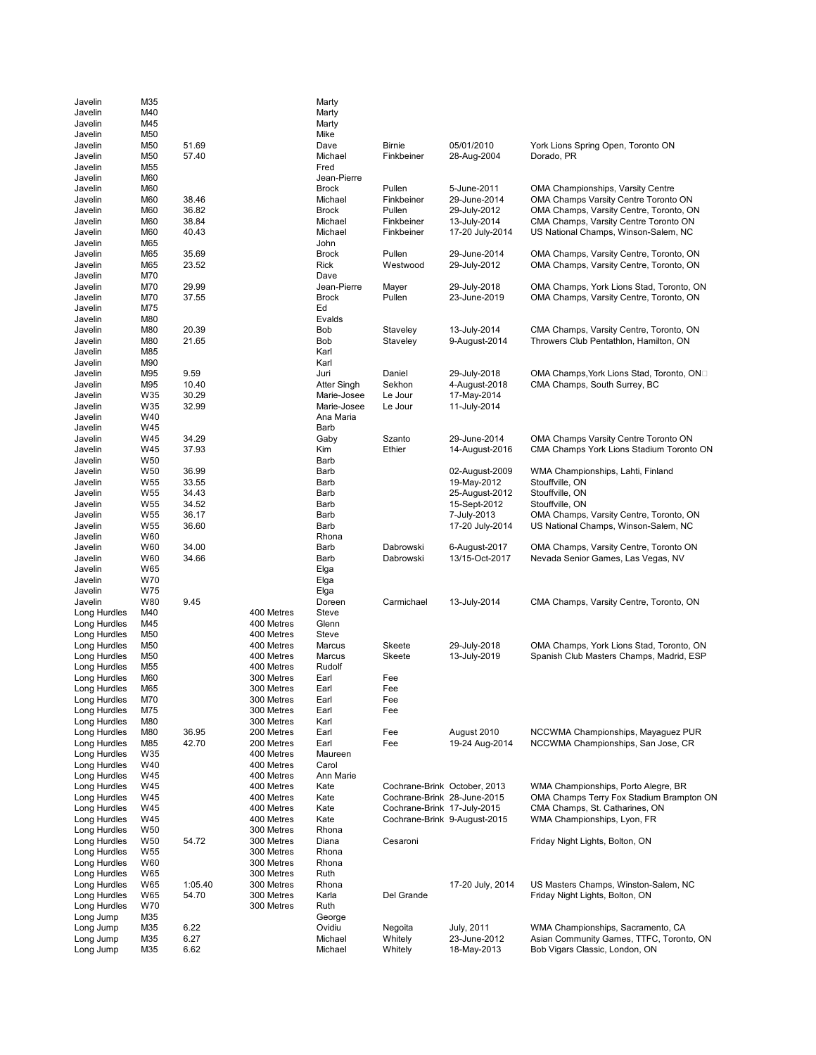| Javelin                      | M35             |         |                          | Marty                |                              |                               |                                                                                   |
|------------------------------|-----------------|---------|--------------------------|----------------------|------------------------------|-------------------------------|-----------------------------------------------------------------------------------|
| Javelin                      | M40             |         |                          | Marty                |                              |                               |                                                                                   |
| Javelin                      | M45             |         |                          | Marty                |                              |                               |                                                                                   |
| Javelin                      | M50             |         |                          | Mike                 |                              |                               |                                                                                   |
| Javelin                      | M50             | 51.69   |                          | Dave                 | <b>Birnie</b>                | 05/01/2010                    | York Lions Spring Open, Toronto ON                                                |
| Javelin                      | M50             | 57.40   |                          | Michael              | Finkbeiner                   | 28-Aug-2004                   | Dorado, PR                                                                        |
| Javelin                      | M <sub>55</sub> |         |                          | Fred                 |                              |                               |                                                                                   |
| Javelin                      | M60             |         |                          | Jean-Pierre          |                              |                               |                                                                                   |
| Javelin                      | M60             |         |                          | <b>Brock</b>         | Pullen                       | 5-June-2011                   | <b>OMA Championships, Varsity Centre</b>                                          |
| Javelin                      | M60             | 38.46   |                          | Michael              | Finkbeiner                   | 29-June-2014                  | OMA Champs Varsity Centre Toronto ON                                              |
| Javelin                      | M60             | 36.82   |                          | <b>Brock</b>         | Pullen                       | 29-July-2012                  | OMA Champs, Varsity Centre, Toronto, ON                                           |
| Javelin                      | M60             | 38.84   |                          | Michael              | Finkbeiner                   | 13-July-2014                  | CMA Champs, Varsity Centre Toronto ON                                             |
| Javelin                      | M60             | 40.43   |                          | Michael              | Finkbeiner                   | 17-20 July-2014               | US National Champs, Winson-Salem, NC                                              |
| Javelin                      | M65             |         |                          | John                 |                              |                               |                                                                                   |
| Javelin                      | M65             | 35.69   |                          | <b>Brock</b>         | Pullen                       | 29-June-2014                  | OMA Champs, Varsity Centre, Toronto, ON                                           |
| Javelin                      | M65             | 23.52   |                          | Rick                 | Westwood                     | 29-July-2012                  | OMA Champs, Varsity Centre, Toronto, ON                                           |
| Javelin                      | M70             |         |                          | Dave                 |                              |                               |                                                                                   |
| Javelin                      | M70             | 29.99   |                          | Jean-Pierre          | Mayer                        | 29-July-2018                  | OMA Champs, York Lions Stad, Toronto, ON                                          |
| Javelin                      | M70             | 37.55   |                          | <b>Brock</b>         | Pullen                       | 23-June-2019                  | OMA Champs, Varsity Centre, Toronto, ON                                           |
| Javelin                      | M75             |         |                          | Ed                   |                              |                               |                                                                                   |
| Javelin<br>Javelin           | M80<br>M80      | 20.39   |                          | Evalds<br><b>Bob</b> |                              |                               |                                                                                   |
| Javelin                      | M80             | 21.65   |                          | Bob                  | Staveley<br>Staveley         | 13-July-2014<br>9-August-2014 | CMA Champs, Varsity Centre, Toronto, ON<br>Throwers Club Pentathlon, Hamilton, ON |
| Javelin                      | M85             |         |                          | Karl                 |                              |                               |                                                                                   |
| Javelin                      | M90             |         |                          | Karl                 |                              |                               |                                                                                   |
| Javelin                      | M95             | 9.59    |                          | Juri                 | Daniel                       | 29-July-2018                  | OMA Champs, York Lions Stad, Toronto, ON□                                         |
| Javelin                      | M95             | 10.40   |                          | Atter Singh          | Sekhon                       | 4-August-2018                 | CMA Champs, South Surrey, BC                                                      |
| Javelin                      | W35             | 30.29   |                          | Marie-Josee          | Le Jour                      | 17-May-2014                   |                                                                                   |
| Javelin                      | W35             | 32.99   |                          | Marie-Josee          | Le Jour                      | 11-July-2014                  |                                                                                   |
| Javelin                      | W40             |         |                          | Ana Maria            |                              |                               |                                                                                   |
| Javelin                      | W45             |         |                          | Barb                 |                              |                               |                                                                                   |
| Javelin                      | W45             | 34.29   |                          | Gaby                 | Szanto                       | 29-June-2014                  | OMA Champs Varsity Centre Toronto ON                                              |
| Javelin                      | W45             | 37.93   |                          | Kim                  | Ethier                       | 14-August-2016                | CMA Champs York Lions Stadium Toronto ON                                          |
| Javelin                      | W <sub>50</sub> |         |                          | Barb                 |                              |                               |                                                                                   |
| Javelin                      | W <sub>50</sub> | 36.99   |                          | Barb                 |                              | 02-August-2009                | WMA Championships, Lahti, Finland                                                 |
| Javelin                      | W <sub>55</sub> | 33.55   |                          | Barb                 |                              | 19-May-2012                   | Stouffville, ON                                                                   |
| Javelin                      | W <sub>55</sub> | 34.43   |                          | Barb                 |                              | 25-August-2012                | Stouffville, ON                                                                   |
| Javelin                      | W <sub>55</sub> | 34.52   |                          | Barb                 |                              | 15-Sept-2012                  | Stouffville, ON                                                                   |
| Javelin                      | W <sub>55</sub> | 36.17   |                          | Barb                 |                              | 7-July-2013                   | OMA Champs, Varsity Centre, Toronto, ON                                           |
| Javelin                      | W <sub>55</sub> | 36.60   |                          | Barb                 |                              | 17-20 July-2014               | US National Champs, Winson-Salem, NC                                              |
| Javelin                      | W60             |         |                          | Rhona                |                              |                               |                                                                                   |
| Javelin                      | W60             | 34.00   |                          | Barb                 | Dabrowski                    | 6-August-2017                 | OMA Champs, Varsity Centre, Toronto ON                                            |
| Javelin                      | W60             | 34.66   |                          | Barb                 | Dabrowski                    | 13/15-Oct-2017                | Nevada Senior Games, Las Vegas, NV                                                |
| Javelin                      | W65             |         |                          | Elga                 |                              |                               |                                                                                   |
| Javelin                      | W70             |         |                          | Elga                 |                              |                               |                                                                                   |
| Javelin                      | W75             |         |                          | Elga                 |                              |                               |                                                                                   |
| Javelin                      | W80             | 9.45    |                          | Doreen               | Carmichael                   | 13-July-2014                  | CMA Champs, Varsity Centre, Toronto, ON                                           |
| Long Hurdles                 | M40             |         | 400 Metres               | Steve                |                              |                               |                                                                                   |
| Long Hurdles                 | M45             |         | 400 Metres               | Glenn<br>Steve       |                              |                               |                                                                                   |
| Long Hurdles<br>Long Hurdles | M50<br>M50      |         | 400 Metres<br>400 Metres | Marcus               | Skeete                       | 29-July-2018                  | OMA Champs, York Lions Stad, Toronto, ON                                          |
| Long Hurdles                 | M50             |         | 400 Metres               | Marcus               | Skeete                       | 13-July-2019                  | Spanish Club Masters Champs, Madrid, ESP                                          |
| Long Hurdles                 | M <sub>55</sub> |         | 400 Metres               | Rudolf               |                              |                               |                                                                                   |
| Long Hurdles                 | M60             |         | 300 Metres               | Earl                 | Fee                          |                               |                                                                                   |
| Long Hurdles                 | M65             |         | 300 Metres               | Earl                 | Fee                          |                               |                                                                                   |
| Long Hurdles                 | M70             |         | 300 Metres               | Earl                 | Fee                          |                               |                                                                                   |
| Long Hurdles                 | M75             |         | 300 Metres               | Earl                 | Fee                          |                               |                                                                                   |
| Long Hurdles                 | M80             |         | 300 Metres               | Karl                 |                              |                               |                                                                                   |
| Long Hurdles                 | M80             | 36.95   | 200 Metres               | Earl                 | Fee                          | August 2010                   | NCCWMA Championships, Mayaguez PUR                                                |
| Long Hurdles                 | M85             | 42.70   | 200 Metres               | Earl                 | Fee                          | 19-24 Aug-2014                | NCCWMA Championships, San Jose, CR                                                |
| Long Hurdles                 | W35             |         | 400 Metres               | Maureen              |                              |                               |                                                                                   |
| Long Hurdles                 | W40             |         | 400 Metres               | Carol                |                              |                               |                                                                                   |
| Long Hurdles                 | W45             |         | 400 Metres               | Ann Marie            |                              |                               |                                                                                   |
| Long Hurdles                 | W45             |         | 400 Metres               | Kate                 | Cochrane-Brink October, 2013 |                               | WMA Championships, Porto Alegre, BR                                               |
| Long Hurdles                 | W45             |         | 400 Metres               | Kate                 | Cochrane-Brink 28-June-2015  |                               | OMA Champs Terry Fox Stadium Brampton ON                                          |
| Long Hurdles                 | W45             |         | 400 Metres               | Kate                 | Cochrane-Brink 17-July-2015  |                               | CMA Champs, St. Catharines, ON                                                    |
| Long Hurdles                 | W45             |         | 400 Metres               | Kate                 | Cochrane-Brink 9-August-2015 |                               | WMA Championships, Lyon, FR                                                       |
| Long Hurdles                 | W <sub>50</sub> |         | 300 Metres               | Rhona                |                              |                               |                                                                                   |
| Long Hurdles                 | W <sub>50</sub> | 54.72   | 300 Metres               | Diana                | Cesaroni                     |                               | Friday Night Lights, Bolton, ON                                                   |
| Long Hurdles                 | W <sub>55</sub> |         | 300 Metres               | Rhona                |                              |                               |                                                                                   |
| Long Hurdles                 | W60             |         | 300 Metres               | Rhona                |                              |                               |                                                                                   |
| Long Hurdles                 | W65             |         | 300 Metres               | Ruth                 |                              |                               |                                                                                   |
| Long Hurdles                 | W65             | 1:05.40 | 300 Metres               | Rhona                |                              | 17-20 July, 2014              | US Masters Champs, Winston-Salem, NC                                              |
| Long Hurdles                 | W65             | 54.70   | 300 Metres               | Karla                | Del Grande                   |                               | Friday Night Lights, Bolton, ON                                                   |
| Long Hurdles                 | W70             |         | 300 Metres               | Ruth                 |                              |                               |                                                                                   |
| Long Jump                    | M35             |         |                          | George               |                              |                               |                                                                                   |
| Long Jump                    | M35             | 6.22    |                          | Ovidiu               | Negoita                      | July, 2011                    | WMA Championships, Sacramento, CA                                                 |
| Long Jump                    | M35             | 6.27    |                          | Michael              | Whitely                      | 23-June-2012                  | Asian Community Games, TTFC, Toronto, ON                                          |
| Long Jump                    | M35             | 6.62    |                          | Michael              | Whitely                      | 18-May-2013                   | Bob Vigars Classic, London, ON                                                    |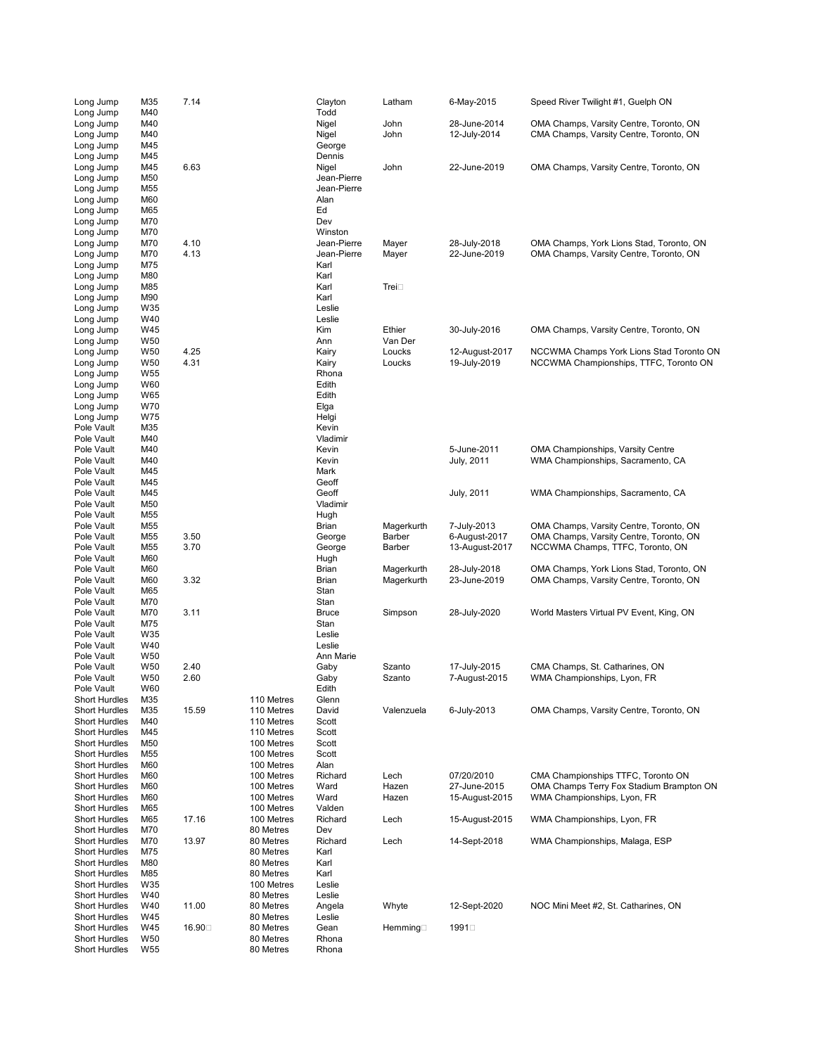| Long Jump                                    | M35             | 7.14   |                          | Clayton             | Latham     | 6-May-2015                   | Speed River Twilight #1, Guelph ON                                                 |
|----------------------------------------------|-----------------|--------|--------------------------|---------------------|------------|------------------------------|------------------------------------------------------------------------------------|
| Long Jump                                    | M40             |        |                          | Todd                |            |                              |                                                                                    |
| Long Jump<br>Long Jump                       | M40             |        |                          | Nigel               | John       | 28-June-2014                 | OMA Champs, Varsity Centre, Toronto, ON<br>CMA Champs, Varsity Centre, Toronto, ON |
| Long Jump                                    | M40<br>M45      |        |                          | Nigel<br>George     | John       | 12-July-2014                 |                                                                                    |
| Long Jump                                    | M45             |        |                          | Dennis              |            |                              |                                                                                    |
| Long Jump                                    | M45             | 6.63   |                          | Nigel               | John       | 22-June-2019                 | OMA Champs, Varsity Centre, Toronto, ON                                            |
| Long Jump                                    | M50             |        |                          | Jean-Pierre         |            |                              |                                                                                    |
| Long Jump                                    | M55             |        |                          | Jean-Pierre         |            |                              |                                                                                    |
| Long Jump                                    | M60             |        |                          | Alan                |            |                              |                                                                                    |
| Long Jump                                    | M65             |        |                          | Ed                  |            |                              |                                                                                    |
| Long Jump                                    | M70             |        |                          | Dev                 |            |                              |                                                                                    |
| Long Jump                                    | M70             |        |                          | Winston             |            |                              |                                                                                    |
| Long Jump                                    | M70             | 4.10   |                          | Jean-Pierre         | Mayer      | 28-July-2018<br>22-June-2019 | OMA Champs, York Lions Stad, Toronto, ON                                           |
| Long Jump<br>Long Jump                       | M70<br>M75      | 4.13   |                          | Jean-Pierre<br>Karl | Mayer      |                              | OMA Champs, Varsity Centre, Toronto, ON                                            |
| Long Jump                                    | M80             |        |                          | Karl                |            |                              |                                                                                    |
| Long Jump                                    | M85             |        |                          | Karl                | Trei⊡      |                              |                                                                                    |
| Long Jump                                    | M90             |        |                          | Karl                |            |                              |                                                                                    |
| Long Jump                                    | W35             |        |                          | Leslie              |            |                              |                                                                                    |
| Long Jump                                    | W40             |        |                          | Leslie              |            |                              |                                                                                    |
| Long Jump                                    | W45             |        |                          | Kim                 | Ethier     | 30-July-2016                 | OMA Champs, Varsity Centre, Toronto, ON                                            |
| Long Jump                                    | W50             |        |                          | Ann                 | Van Der    |                              |                                                                                    |
| Long Jump                                    | W50             | 4.25   |                          | Kairy               | Loucks     | 12-August-2017               | NCCWMA Champs York Lions Stad Toronto ON                                           |
| Long Jump                                    | W50             | 4.31   |                          | Kairy               | Loucks     | 19-July-2019                 | NCCWMA Championships, TTFC, Toronto ON                                             |
| Long Jump                                    | W <sub>55</sub> |        |                          | Rhona               |            |                              |                                                                                    |
| Long Jump                                    | W60             |        |                          | Edith               |            |                              |                                                                                    |
| Long Jump                                    | W65             |        |                          | Edith               |            |                              |                                                                                    |
| Long Jump                                    | W70             |        |                          | Elga                |            |                              |                                                                                    |
| Long Jump<br>Pole Vault                      | W75<br>M35      |        |                          | Helgi<br>Kevin      |            |                              |                                                                                    |
| Pole Vault                                   | M40             |        |                          | Vladimir            |            |                              |                                                                                    |
| Pole Vault                                   | M40             |        |                          | Kevin               |            | 5-June-2011                  | <b>OMA Championships, Varsity Centre</b>                                           |
| Pole Vault                                   | M40             |        |                          | Kevin               |            | July, 2011                   | WMA Championships, Sacramento, CA                                                  |
| Pole Vault                                   | M45             |        |                          | Mark                |            |                              |                                                                                    |
| Pole Vault                                   | M45             |        |                          | Geoff               |            |                              |                                                                                    |
| Pole Vault                                   | M45             |        |                          | Geoff               |            | July, 2011                   | WMA Championships, Sacramento, CA                                                  |
| Pole Vault                                   | M50             |        |                          | Vladimir            |            |                              |                                                                                    |
| Pole Vault                                   | M55             |        |                          | Hugh                |            |                              |                                                                                    |
| Pole Vault                                   | M55             |        |                          | Brian               | Magerkurth | 7-July-2013                  | OMA Champs, Varsity Centre, Toronto, ON                                            |
| Pole Vault                                   | M55             | 3.50   |                          | George              | Barber     | 6-August-2017                | OMA Champs, Varsity Centre, Toronto, ON                                            |
| Pole Vault                                   | M <sub>55</sub> | 3.70   |                          | George              | Barber     | 13-August-2017               | NCCWMA Champs, TTFC, Toronto, ON                                                   |
| Pole Vault                                   | M60             |        |                          | Hugh                |            |                              |                                                                                    |
| Pole Vault                                   | M60             |        |                          | Brian               | Magerkurth | 28-July-2018                 | OMA Champs, York Lions Stad, Toronto, ON                                           |
| Pole Vault<br>Pole Vault                     | M60<br>M65      | 3.32   |                          | Brian<br>Stan       | Magerkurth | 23-June-2019                 | OMA Champs, Varsity Centre, Toronto, ON                                            |
| Pole Vault                                   | M70             |        |                          | Stan                |            |                              |                                                                                    |
| Pole Vault                                   | M70             | 3.11   |                          | <b>Bruce</b>        | Simpson    | 28-July-2020                 | World Masters Virtual PV Event, King, ON                                           |
| Pole Vault                                   | M75             |        |                          | Stan                |            |                              |                                                                                    |
| Pole Vault                                   | W35             |        |                          | Leslie              |            |                              |                                                                                    |
| Pole Vault                                   | W40             |        |                          | Leslie              |            |                              |                                                                                    |
| Pole Vault                                   | W50             |        |                          | Ann Marie           |            |                              |                                                                                    |
| Pole Vault                                   | W <sub>50</sub> | 2.40   |                          | Gaby                | Szanto     | 17-July-2015                 | CMA Champs, St. Catharines, ON                                                     |
| Pole Vault                                   | W50             | 2.60   |                          | Gaby                | Szanto     | 7-August-2015                | WMA Championships, Lyon, FR                                                        |
| Pole Vault                                   | W60             |        |                          | Edith               |            |                              |                                                                                    |
| <b>Short Hurdles</b>                         | M35             |        | 110 Metres               | Glenn               |            |                              |                                                                                    |
| <b>Short Hurdles</b>                         | M35             | 15.59  | 110 Metres               | David               | Valenzuela | 6-July-2013                  | OMA Champs, Varsity Centre, Toronto, ON                                            |
| <b>Short Hurdles</b>                         | M40             |        | 110 Metres               | Scott               |            |                              |                                                                                    |
| <b>Short Hurdles</b><br><b>Short Hurdles</b> | M45<br>M50      |        | 110 Metres<br>100 Metres | Scott<br>Scott      |            |                              |                                                                                    |
| <b>Short Hurdles</b>                         | M55             |        | 100 Metres               | Scott               |            |                              |                                                                                    |
| <b>Short Hurdles</b>                         | M60             |        | 100 Metres               | Alan                |            |                              |                                                                                    |
| <b>Short Hurdles</b>                         | M60             |        | 100 Metres               | Richard             | Lech       | 07/20/2010                   | CMA Championships TTFC, Toronto ON                                                 |
| <b>Short Hurdles</b>                         | M60             |        | 100 Metres               | Ward                | Hazen      | 27-June-2015                 | OMA Champs Terry Fox Stadium Brampton ON                                           |
| <b>Short Hurdles</b>                         | M60             |        | 100 Metres               | Ward                | Hazen      | 15-August-2015               | WMA Championships, Lyon, FR                                                        |
| <b>Short Hurdles</b>                         | M65             |        | 100 Metres               | Valden              |            |                              |                                                                                    |
| <b>Short Hurdles</b>                         | M65             | 17.16  | 100 Metres               | Richard             | Lech       | 15-August-2015               | WMA Championships, Lyon, FR                                                        |
| <b>Short Hurdles</b>                         | M70             |        | 80 Metres                | Dev                 |            |                              |                                                                                    |
| <b>Short Hurdles</b>                         | M70             | 13.97  | 80 Metres                | Richard             | Lech       | 14-Sept-2018                 | WMA Championships, Malaga, ESP                                                     |
| <b>Short Hurdles</b>                         | M75             |        | 80 Metres                | Karl                |            |                              |                                                                                    |
| <b>Short Hurdles</b>                         | M80             |        | 80 Metres                | Karl                |            |                              |                                                                                    |
| <b>Short Hurdles</b>                         | M85             |        | 80 Metres                | Karl                |            |                              |                                                                                    |
| <b>Short Hurdles</b><br><b>Short Hurdles</b> | W35<br>W40      |        | 100 Metres<br>80 Metres  | Leslie<br>Leslie    |            |                              |                                                                                    |
| <b>Short Hurdles</b>                         | W40             | 11.00  | 80 Metres                | Angela              | Whyte      | 12-Sept-2020                 | NOC Mini Meet #2, St. Catharines, ON                                               |
| <b>Short Hurdles</b>                         | W45             |        | 80 Metres                | Leslie              |            |                              |                                                                                    |
| <b>Short Hurdles</b>                         | W45             | 16.90□ | 80 Metres                | Gean                | Hemming□   | 1991□                        |                                                                                    |
| <b>Short Hurdles</b>                         | W50             |        | 80 Metres                | Rhona               |            |                              |                                                                                    |
| <b>Short Hurdles</b>                         | W55             |        | 80 Metres                | Rhona               |            |                              |                                                                                    |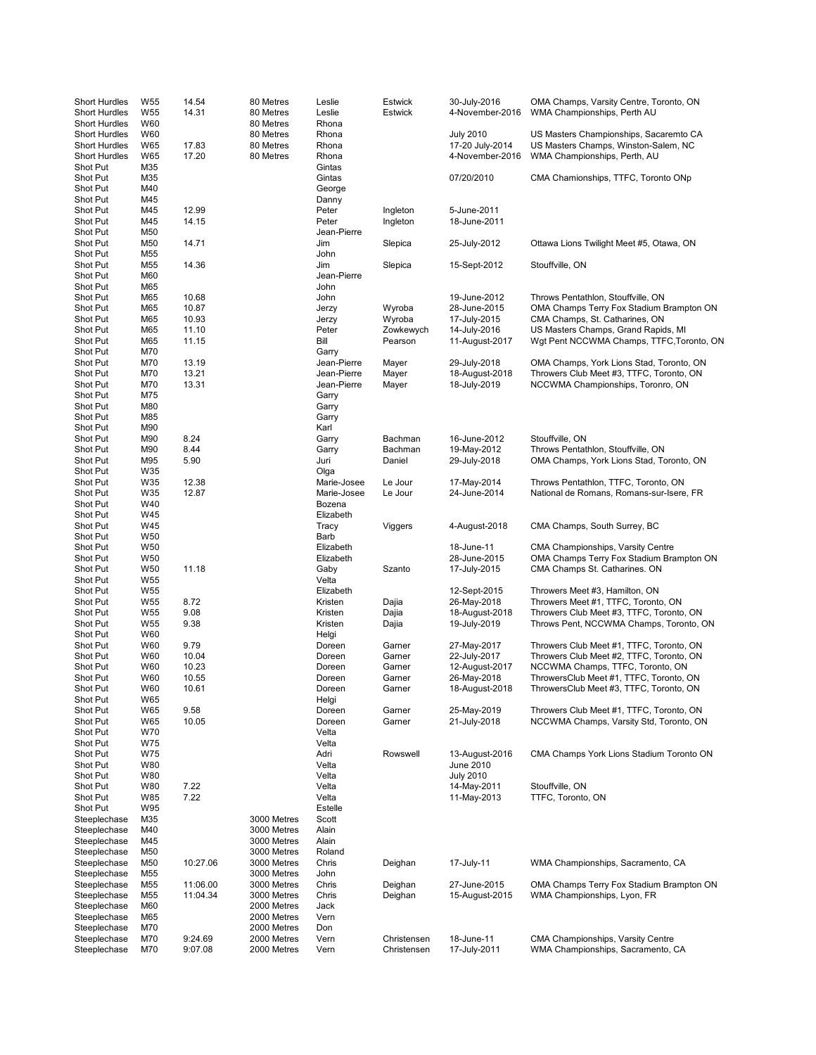| <b>Short Hurdles</b><br><b>Short Hurdles</b><br><b>Short Hurdles</b> | W <sub>55</sub><br>W <sub>55</sub><br>W60 | 14.54<br>14.31     | 80 Metres<br>80 Metres<br>80 Metres | Leslie<br>Leslie<br>Rhona           | Estwick<br>Estwick         | 30-July-2016<br>4-November-2016                        | OMA Champs, Varsity Centre, Toronto, ON<br>WMA Championships, Perth AU                                         |
|----------------------------------------------------------------------|-------------------------------------------|--------------------|-------------------------------------|-------------------------------------|----------------------------|--------------------------------------------------------|----------------------------------------------------------------------------------------------------------------|
| <b>Short Hurdles</b><br><b>Short Hurdles</b><br><b>Short Hurdles</b> | W60<br>W65<br><b>W65</b>                  | 17.83<br>17.20     | 80 Metres<br>80 Metres<br>80 Metres | Rhona<br>Rhona<br>Rhona             |                            | <b>July 2010</b><br>17-20 July-2014<br>4-November-2016 | US Masters Championships, Sacaremto CA<br>US Masters Champs, Winston-Salem, NC<br>WMA Championships, Perth, AU |
| Shot Put<br>Shot Put<br>Shot Put<br>Shot Put                         | M35<br>M35<br>M40<br>M45                  |                    |                                     | Gintas<br>Gintas<br>George<br>Danny |                            | 07/20/2010                                             | CMA Chamionships, TTFC, Toronto ONp                                                                            |
| Shot Put<br>Shot Put                                                 | M45<br>M45                                | 12.99<br>14.15     |                                     | Peter<br>Peter                      | Ingleton<br>Ingleton       | 5-June-2011<br>18-June-2011                            |                                                                                                                |
| Shot Put                                                             | M50                                       |                    |                                     | Jean-Pierre                         |                            |                                                        |                                                                                                                |
| Shot Put<br>Shot Put                                                 | M50<br>M55                                | 14.71              |                                     | Jim<br>John                         | Slepica                    | 25-July-2012                                           | Ottawa Lions Twilight Meet #5, Otawa, ON                                                                       |
| Shot Put                                                             | M55                                       | 14.36              |                                     | Jim                                 | Slepica                    | 15-Sept-2012                                           | Stouffville, ON                                                                                                |
| Shot Put<br>Shot Put                                                 | M60<br>M65                                |                    |                                     | Jean-Pierre<br>John                 |                            |                                                        |                                                                                                                |
| Shot Put                                                             | M65                                       | 10.68              |                                     | John                                |                            | 19-June-2012                                           | Throws Pentathlon, Stouffville, ON                                                                             |
| Shot Put<br>Shot Put                                                 | M65<br>M65                                | 10.87<br>10.93     |                                     | Jerzy<br>Jerzy                      | Wyroba<br>Wyroba           | 28-June-2015<br>17-July-2015                           | OMA Champs Terry Fox Stadium Brampton ON<br>CMA Champs, St. Catharines, ON                                     |
| Shot Put                                                             | M65                                       | 11.10              |                                     | Peter                               | Zowkewych                  | 14-July-2016                                           | US Masters Champs, Grand Rapids, MI                                                                            |
| Shot Put<br>Shot Put                                                 | M65<br>M70                                | 11.15              |                                     | Bill                                | Pearson                    | 11-August-2017                                         | Wgt Pent NCCWMA Champs, TTFC, Toronto, ON                                                                      |
| Shot Put                                                             | M70                                       | 13.19              |                                     | Garry<br>Jean-Pierre                | Mayer                      | 29-July-2018                                           | OMA Champs, York Lions Stad, Toronto, ON                                                                       |
| Shot Put                                                             | M70                                       | 13.21              |                                     | Jean-Pierre                         | Mayer                      | 18-August-2018                                         | Throwers Club Meet #3, TTFC, Toronto, ON                                                                       |
| Shot Put<br>Shot Put                                                 | M70<br>M75                                | 13.31              |                                     | Jean-Pierre<br>Garry                | Mayer                      | 18-July-2019                                           | NCCWMA Championships, Toronro, ON                                                                              |
| Shot Put                                                             | M80                                       |                    |                                     | Garry                               |                            |                                                        |                                                                                                                |
| Shot Put<br>Shot Put                                                 | M85<br>M90                                |                    |                                     | Garry<br>Karl                       |                            |                                                        |                                                                                                                |
| Shot Put                                                             | M90                                       | 8.24               |                                     | Garry                               | Bachman                    | 16-June-2012                                           | Stouffville, ON                                                                                                |
| Shot Put<br>Shot Put                                                 | M90<br>M95                                | 8.44<br>5.90       |                                     | Garry<br>Juri                       | Bachman<br>Daniel          | 19-May-2012<br>29-July-2018                            | Throws Pentathlon, Stouffville, ON<br>OMA Champs, York Lions Stad, Toronto, ON                                 |
| Shot Put                                                             | W35                                       |                    |                                     | Olga                                |                            |                                                        |                                                                                                                |
| Shot Put<br>Shot Put                                                 | W35<br>W35                                | 12.38<br>12.87     |                                     | Marie-Josee<br>Marie-Josee          | Le Jour<br>Le Jour         | 17-May-2014<br>24-June-2014                            | Throws Pentathlon, TTFC, Toronto, ON<br>National de Romans, Romans-sur-Isere, FR                               |
| Shot Put                                                             | W40                                       |                    |                                     | Bozena                              |                            |                                                        |                                                                                                                |
| Shot Put                                                             | W45                                       |                    |                                     | Elizabeth                           |                            |                                                        |                                                                                                                |
| Shot Put<br>Shot Put                                                 | W45<br>W <sub>50</sub>                    |                    |                                     | Tracy<br>Barb                       | Viggers                    | 4-August-2018                                          | CMA Champs, South Surrey, BC                                                                                   |
| Shot Put                                                             | W <sub>50</sub>                           |                    |                                     | Elizabeth                           |                            | 18-June-11                                             | CMA Championships, Varsity Centre                                                                              |
| Shot Put<br>Shot Put                                                 | W <sub>50</sub><br>W <sub>50</sub>        | 11.18              |                                     | Elizabeth<br>Gaby                   | Szanto                     | 28-June-2015<br>17-July-2015                           | OMA Champs Terry Fox Stadium Brampton ON<br>CMA Champs St. Catharines. ON                                      |
| Shot Put                                                             | W <sub>55</sub>                           |                    |                                     | Velta                               |                            |                                                        |                                                                                                                |
| Shot Put<br>Shot Put                                                 | W <sub>55</sub><br>W <sub>55</sub>        | 8.72               |                                     | Elizabeth<br>Kristen                | Dajia                      | 12-Sept-2015<br>26-May-2018                            | Throwers Meet #3, Hamilton, ON<br>Throwers Meet #1, TTFC, Toronto, ON                                          |
| Shot Put                                                             | W <sub>55</sub>                           | 9.08               |                                     | Kristen                             | Dajia                      | 18-August-2018                                         | Throwers Club Meet #3, TTFC, Toronto, ON                                                                       |
| Shot Put<br>Shot Put                                                 | W <sub>55</sub><br>W60                    | 9.38               |                                     | Kristen<br>Helgi                    | Dajia                      | 19-July-2019                                           | Throws Pent, NCCWMA Champs, Toronto, ON                                                                        |
| Shot Put                                                             | W60                                       | 9.79               |                                     | Doreen                              | Garner                     | 27-May-2017                                            | Throwers Club Meet #1, TTFC, Toronto, ON                                                                       |
| Shot Put<br>Shot Put                                                 | W60<br>W60                                | 10.04<br>10.23     |                                     | Doreen<br>Doreen                    | Garner<br>Garner           | 22-July-2017<br>12-August-2017                         | Throwers Club Meet #2, TTFC, Toronto, ON<br>NCCWMA Champs, TTFC, Toronto, ON                                   |
| Shot Put                                                             | W60                                       | 10.55              |                                     | Doreen                              | Garner                     | 26-May-2018                                            | ThrowersClub Meet #1, TTFC, Toronto, ON                                                                        |
| Shot Put<br>Shot Put                                                 | W60                                       | 10.61              |                                     | Doreen                              | Garner                     | 18-August-2018                                         | ThrowersClub Meet #3, TTFC, Toronto, ON                                                                        |
| Shot Put                                                             | W65<br>W65                                | 9.58               |                                     | Helgi<br>Doreen                     | Garner                     | 25-May-2019                                            | Throwers Club Meet #1, TTFC, Toronto, ON                                                                       |
| Shot Put                                                             | W65                                       | 10.05              |                                     | Doreen                              | Garner                     | 21-July-2018                                           | NCCWMA Champs, Varsity Std, Toronto, ON                                                                        |
| Shot Put<br>Shot Put                                                 | W70<br>W75                                |                    |                                     | Velta<br>Velta                      |                            |                                                        |                                                                                                                |
| Shot Put                                                             | W75                                       |                    |                                     | Adri                                | Rowswell                   | 13-August-2016                                         | CMA Champs York Lions Stadium Toronto ON                                                                       |
| Shot Put<br>Shot Put                                                 | W80<br>W80                                |                    |                                     | Velta<br>Velta                      |                            | June 2010<br><b>July 2010</b>                          |                                                                                                                |
| Shot Put                                                             | W80                                       | 7.22               |                                     | Velta                               |                            | 14-May-2011                                            | Stouffville, ON                                                                                                |
| Shot Put<br>Shot Put                                                 | W85<br>W95                                | 7.22               |                                     | Velta<br>Estelle                    |                            | 11-May-2013                                            | TTFC, Toronto, ON                                                                                              |
| Steeplechase                                                         | M35                                       |                    | 3000 Metres                         | Scott                               |                            |                                                        |                                                                                                                |
| Steeplechase<br>Steeplechase                                         | M40<br>M45                                |                    | 3000 Metres<br>3000 Metres          | Alain<br>Alain                      |                            |                                                        |                                                                                                                |
| Steeplechase                                                         | M50                                       |                    | 3000 Metres                         | Roland                              |                            |                                                        |                                                                                                                |
| Steeplechase                                                         | M50                                       | 10:27.06           | 3000 Metres                         | Chris                               | Deighan                    | 17-July-11                                             | WMA Championships, Sacramento, CA                                                                              |
| Steeplechase<br>Steeplechase                                         | M55<br>M55                                | 11:06.00           | 3000 Metres<br>3000 Metres          | John<br>Chris                       | Deighan                    | 27-June-2015                                           | OMA Champs Terry Fox Stadium Brampton ON                                                                       |
| Steeplechase                                                         | M55                                       | 11:04.34           | 3000 Metres                         | Chris                               | Deighan                    | 15-August-2015                                         | WMA Championships, Lyon, FR                                                                                    |
| Steeplechase<br>Steeplechase                                         | M60<br>M65                                |                    | 2000 Metres<br>2000 Metres          | Jack<br>Vern                        |                            |                                                        |                                                                                                                |
| Steeplechase                                                         | M70                                       |                    | 2000 Metres                         | Don                                 |                            |                                                        |                                                                                                                |
| Steeplechase<br>Steeplechase                                         | M70<br>M70                                | 9:24.69<br>9:07.08 | 2000 Metres<br>2000 Metres          | Vern<br>Vern                        | Christensen<br>Christensen | 18-June-11<br>17-July-2011                             | CMA Championships, Varsity Centre<br>WMA Championships, Sacramento, CA                                         |
|                                                                      |                                           |                    |                                     |                                     |                            |                                                        |                                                                                                                |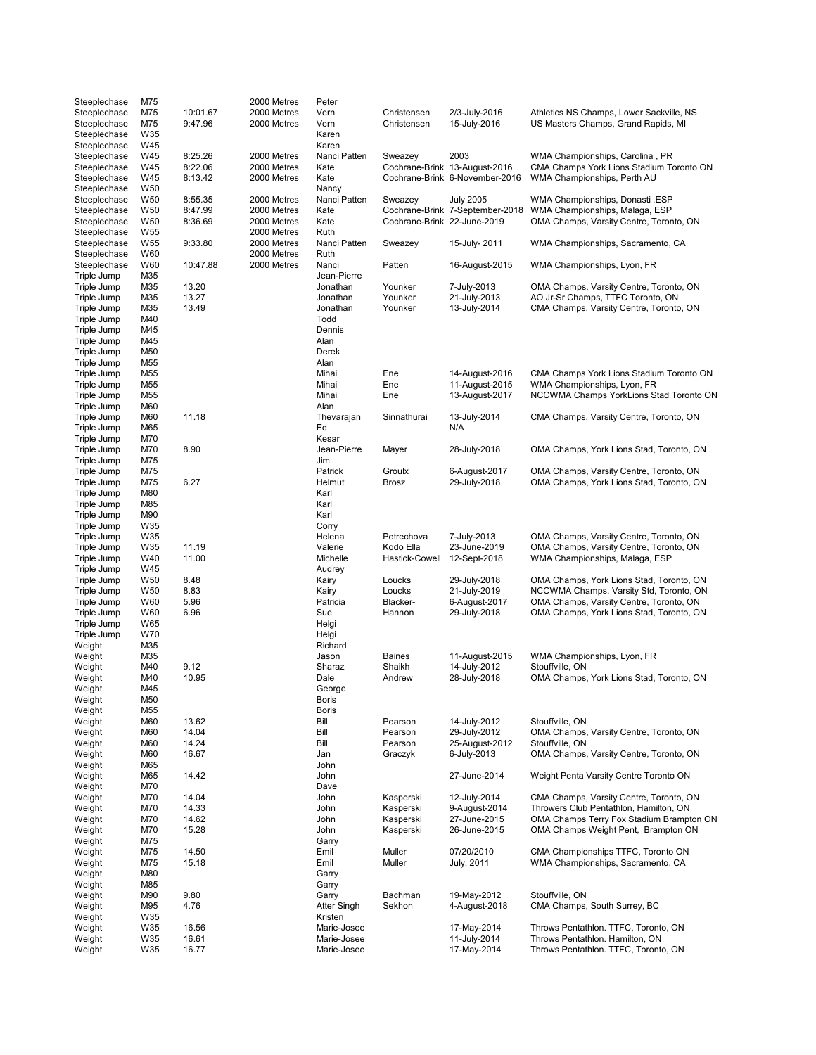| Steeplechase     | M75             |                | 2000 Metres | Peter                      |                             |                                 |                                                                                     |
|------------------|-----------------|----------------|-------------|----------------------------|-----------------------------|---------------------------------|-------------------------------------------------------------------------------------|
| Steeplechase     | M75             | 10:01.67       | 2000 Metres | Vern                       | Christensen                 | 2/3-July-2016                   | Athletics NS Champs, Lower Sackville, NS                                            |
| Steeplechase     | M75             | 9:47.96        | 2000 Metres | Vern                       | Christensen                 | 15-July-2016                    | US Masters Champs, Grand Rapids, MI                                                 |
| Steeplechase     | W35             |                |             | Karen                      |                             |                                 |                                                                                     |
| Steeplechase     | W45             |                |             | Karen                      |                             |                                 |                                                                                     |
| Steeplechase     | W45             | 8:25.26        | 2000 Metres | Nanci Patten               | Sweazey                     | 2003                            | WMA Championships, Carolina, PR                                                     |
| Steeplechase     | W45             | 8:22.06        | 2000 Metres | Kate                       |                             | Cochrane-Brink 13-August-2016   | CMA Champs York Lions Stadium Toronto ON                                            |
| Steeplechase     | W45             | 8:13.42        | 2000 Metres | Kate                       |                             | Cochrane-Brink 6-November-2016  | WMA Championships, Perth AU                                                         |
| Steeplechase     | W50             |                |             | Nancy                      |                             |                                 |                                                                                     |
| Steeplechase     | W <sub>50</sub> | 8:55.35        | 2000 Metres | Nanci Patten               | Sweazey                     | <b>July 2005</b>                | WMA Championships, Donasti, ESP                                                     |
| Steeplechase     | W50             | 8:47.99        | 2000 Metres | Kate                       |                             | Cochrane-Brink 7-September-2018 | WMA Championships, Malaga, ESP                                                      |
| Steeplechase     | W50             | 8:36.69        | 2000 Metres | Kate                       | Cochrane-Brink 22-June-2019 |                                 | OMA Champs, Varsity Centre, Toronto, ON                                             |
| Steeplechase     | W55             |                | 2000 Metres | Ruth                       |                             |                                 |                                                                                     |
| Steeplechase     | W55             | 9:33.80        | 2000 Metres | Nanci Patten               | Sweazey                     | 15-July-2011                    | WMA Championships, Sacramento, CA                                                   |
|                  | W60             |                |             |                            |                             |                                 |                                                                                     |
| Steeplechase     |                 |                | 2000 Metres | Ruth                       |                             |                                 |                                                                                     |
| Steeplechase     | W60             | 10:47.88       | 2000 Metres | Nanci                      | Patten                      | 16-August-2015                  | WMA Championships, Lyon, FR                                                         |
| Triple Jump      | M35             |                |             | Jean-Pierre                |                             |                                 |                                                                                     |
| Triple Jump      | M35             | 13.20          |             | Jonathan                   | Younker                     | 7-July-2013                     | OMA Champs, Varsity Centre, Toronto, ON                                             |
| Triple Jump      | M35             | 13.27          |             | Jonathan                   | Younker                     | 21-July-2013                    | AO Jr-Sr Champs, TTFC Toronto, ON                                                   |
| Triple Jump      | M35             | 13.49          |             | Jonathan                   | Younker                     | 13-July-2014                    | CMA Champs, Varsity Centre, Toronto, ON                                             |
| Triple Jump      | M40             |                |             | Todd                       |                             |                                 |                                                                                     |
| Triple Jump      | M45             |                |             | Dennis                     |                             |                                 |                                                                                     |
| Triple Jump      | M45             |                |             | Alan                       |                             |                                 |                                                                                     |
| Triple Jump      | M50             |                |             | Derek                      |                             |                                 |                                                                                     |
| Triple Jump      | M55             |                |             | Alan                       |                             |                                 |                                                                                     |
| Triple Jump      | M55             |                |             | Mihai                      | Ene                         | 14-August-2016                  | CMA Champs York Lions Stadium Toronto ON                                            |
| Triple Jump      | M55             |                |             | Mihai                      | Ene                         | 11-August-2015                  | WMA Championships, Lyon, FR                                                         |
| Triple Jump      | M55             |                |             | Mihai                      | Ene                         | 13-August-2017                  | NCCWMA Champs YorkLions Stad Toronto ON                                             |
| Triple Jump      | M60             |                |             | Alan                       |                             |                                 |                                                                                     |
| Triple Jump      | M60             | 11.18          |             | Thevarajan                 | Sinnathurai                 | 13-July-2014                    | CMA Champs, Varsity Centre, Toronto, ON                                             |
| Triple Jump      | M65             |                |             | Ed                         |                             | N/A                             |                                                                                     |
| Triple Jump      | M70             |                |             | Kesar                      |                             |                                 |                                                                                     |
| Triple Jump      | M70             | 8.90           |             | Jean-Pierre                | Mayer                       | 28-July-2018                    | OMA Champs, York Lions Stad, Toronto, ON                                            |
| Triple Jump      | M75             |                |             | Jim                        |                             |                                 |                                                                                     |
|                  | M75             |                |             |                            |                             |                                 |                                                                                     |
| Triple Jump      |                 | 6.27           |             | Patrick                    | Groulx                      | 6-August-2017                   | OMA Champs, Varsity Centre, Toronto, ON<br>OMA Champs, York Lions Stad, Toronto, ON |
| Triple Jump      | M75             |                |             | Helmut                     | Brosz                       | 29-July-2018                    |                                                                                     |
| Triple Jump      | M80             |                |             | Karl                       |                             |                                 |                                                                                     |
| Triple Jump      | M85             |                |             | Karl                       |                             |                                 |                                                                                     |
| Triple Jump      | M90             |                |             | Karl                       |                             |                                 |                                                                                     |
| Triple Jump      | W35             |                |             | Corry                      |                             |                                 |                                                                                     |
| Triple Jump      | W35             |                |             | Helena                     | Petrechova                  | 7-July-2013                     | OMA Champs, Varsity Centre, Toronto, ON                                             |
| Triple Jump      | W35             | 11.19          |             | Valerie                    | Kodo Ella                   | 23-June-2019                    | OMA Champs, Varsity Centre, Toronto, ON                                             |
| Triple Jump      | W40             | 11.00          |             | Michelle                   | Hastick-Cowell              | 12-Sept-2018                    | WMA Championships, Malaga, ESP                                                      |
| Triple Jump      | W45             |                |             | Audrey                     |                             |                                 |                                                                                     |
| Triple Jump      | W <sub>50</sub> | 8.48           |             | Kairy                      | Loucks                      | 29-July-2018                    | OMA Champs, York Lions Stad, Toronto, ON                                            |
| Triple Jump      |                 |                |             |                            | Loucks                      | 21-July-2019                    | NCCWMA Champs, Varsity Std, Toronto, ON                                             |
| Triple Jump      | W50             | 8.83           |             | Kairy                      |                             |                                 |                                                                                     |
|                  | W60             | 5.96           |             | Patricia                   | Blacker-                    | 6-August-2017                   | OMA Champs, Varsity Centre, Toronto, ON                                             |
| Triple Jump      | W60             | 6.96           |             | Sue                        | Hannon                      |                                 |                                                                                     |
|                  | W65             |                |             |                            |                             | 29-July-2018                    | OMA Champs, York Lions Stad, Toronto, ON                                            |
| Triple Jump      |                 |                |             | Helgi                      |                             |                                 |                                                                                     |
| Triple Jump      | W70             |                |             | Helgi                      |                             |                                 |                                                                                     |
| Weight           | M35             |                |             | Richard                    |                             |                                 |                                                                                     |
| Weight           | M35             |                |             | Jason                      | <b>Baines</b>               | 11-August-2015                  | WMA Championships, Lyon, FR                                                         |
| Weight           | M40             | 9.12           |             | Sharaz                     | Shaikh                      | 14-July-2012                    | Stouffville, ON                                                                     |
| Weight           | M40             | 10.95          |             | Dale                       | Andrew                      | 28-July-2018                    | OMA Champs, York Lions Stad, Toronto, ON                                            |
| Weight           | M45             |                |             | George                     |                             |                                 |                                                                                     |
| Weight           | M50             |                |             | Boris                      |                             |                                 |                                                                                     |
| Weight           | M55             |                |             | <b>Boris</b>               |                             |                                 |                                                                                     |
| Weight           | M60             | 13.62          |             | Bill                       | Pearson                     | 14-July-2012                    | Stouffville, ON                                                                     |
| Weight           | M60             | 14.04          |             | Bill                       | Pearson                     | 29-July-2012                    | OMA Champs, Varsity Centre, Toronto, ON                                             |
| Weight           | M60             | 14.24          |             | Bill                       | Pearson                     | 25-August-2012                  | Stouffville, ON                                                                     |
| Weight           | M60             | 16.67          |             | Jan                        | Graczyk                     | 6-July-2013                     | OMA Champs, Varsity Centre, Toronto, ON                                             |
| Weight           | M65             |                |             | John                       |                             |                                 |                                                                                     |
| Weight           | M65             | 14.42          |             | John                       |                             | 27-June-2014                    | Weight Penta Varsity Centre Toronto ON                                              |
| Weight           | M70             |                |             | Dave                       |                             |                                 |                                                                                     |
| Weight           | M70             | 14.04          |             | John                       | Kasperski                   | 12-July-2014                    | CMA Champs, Varsity Centre, Toronto, ON                                             |
| Weight           | M70             | 14.33          |             | John                       | Kasperski                   | 9-August-2014                   | Throwers Club Pentathlon, Hamilton, ON                                              |
| Weight           | M70             | 14.62          |             | John                       | Kasperski                   | 27-June-2015                    | OMA Champs Terry Fox Stadium Brampton ON                                            |
| Weight           | M70             | 15.28          |             | John                       | Kasperski                   | 26-June-2015                    | OMA Champs Weight Pent, Brampton ON                                                 |
| Weight           | M75             |                |             | Garry                      |                             |                                 |                                                                                     |
|                  | M75             |                |             | Emil                       |                             |                                 |                                                                                     |
| Weight           |                 | 14.50          |             |                            | Muller                      | 07/20/2010                      | CMA Championships TTFC, Toronto ON                                                  |
| Weight           | M75             | 15.18          |             | Emil                       | Muller                      | July, 2011                      | WMA Championships, Sacramento, CA                                                   |
| Weight           | M80             |                |             | Garry                      |                             |                                 |                                                                                     |
| Weight           | M85             |                |             | Garry                      |                             |                                 |                                                                                     |
| Weight           | M90             | 9.80           |             | Garry                      | Bachman                     | 19-May-2012                     | Stouffville, ON                                                                     |
| Weight           | M95             | 4.76           |             | Atter Singh                | Sekhon                      | 4-August-2018                   | CMA Champs, South Surrey, BC                                                        |
| Weight           | W35             |                |             | Kristen                    |                             |                                 |                                                                                     |
| Weight           | W35             | 16.56          |             | Marie-Josee                |                             | 17-May-2014                     | Throws Pentathlon. TTFC, Toronto, ON                                                |
| Weight<br>Weight | W35<br>W35      | 16.61<br>16.77 |             | Marie-Josee<br>Marie-Josee |                             | 11-July-2014<br>17-May-2014     | Throws Pentathlon. Hamilton, ON<br>Throws Pentathlon. TTFC, Toronto, ON             |